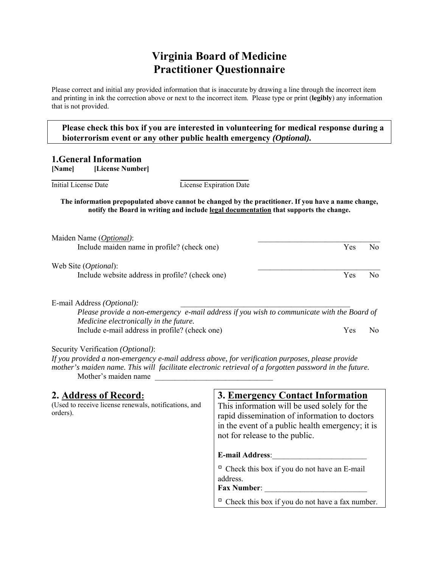# **Virginia Board of Medicine Practitioner Questionnaire**

Please correct and initial any provided information that is inaccurate by drawing a line through the incorrect item and printing in ink the correction above or next to the incorrect item. Please type or print (**legibly**) any information that is not provided.

 **Please check this box if you are interested in volunteering for medical response during a bioterrorism event or any other public health emergency** *(Optional).*

#### **1.General Information**

**[Name] [License Number]**

Initial License Date License Expiration Date

#### **The information prepopulated above cannot be changed by the practitioner. If you have a name change, notify the Board in writing and include legal documentation that supports the change.**

| Maiden Name (Optional):                                                                                                              |            |     |
|--------------------------------------------------------------------------------------------------------------------------------------|------------|-----|
| Include maiden name in profile? (check one)                                                                                          | Yes        | No. |
| Web Site ( <i>Optional</i> ):                                                                                                        |            |     |
| Include website address in profile? (check one)                                                                                      | <b>Yes</b> | No. |
| E-mail Address <i>(Optional)</i> :                                                                                                   |            |     |
| Please provide a non-emergency e-mail address if you wish to communicate with the Board of<br>Medicine electronically in the future. |            |     |
|                                                                                                                                      |            |     |

Include e-mail address in profile? (check one) Yes No

Security Verification *(Optional)*:

*If you provided a non-emergency e-mail address above, for verification purposes, please provide mother's maiden name. This will facilitate electronic retrieval of a forgotten password in the future.*  Mother's maiden name

| 2. Address of Record:<br>(Used to receive license renewals, notifications, and<br>orders). | 3. Emergency Contact Information<br>This information will be used solely for the<br>rapid dissemination of information to doctors<br>in the event of a public health emergency; it is<br>not for release to the public. |
|--------------------------------------------------------------------------------------------|-------------------------------------------------------------------------------------------------------------------------------------------------------------------------------------------------------------------------|
|                                                                                            | <b>E-mail Address:</b>                                                                                                                                                                                                  |
|                                                                                            | $\Box$ Check this box if you do not have an E-mail<br>address.<br><b>Fax Number:</b>                                                                                                                                    |
|                                                                                            | $\Box$ Check this box if you do not have a fax number.                                                                                                                                                                  |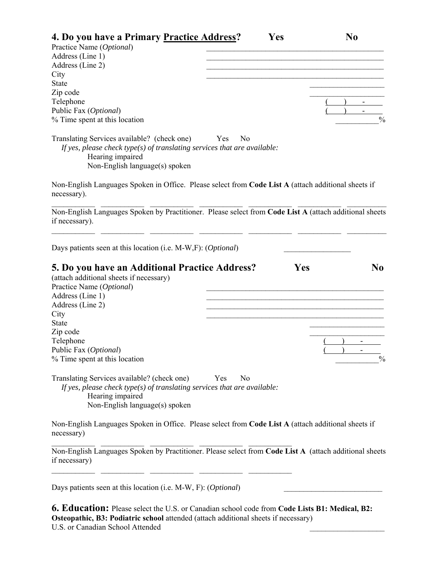| 4. Do you have a Primary Practice Address?                                                                                                                                                                                                                               |                       | Yes | N <sub>0</sub>                  |
|--------------------------------------------------------------------------------------------------------------------------------------------------------------------------------------------------------------------------------------------------------------------------|-----------------------|-----|---------------------------------|
| Practice Name (Optional)                                                                                                                                                                                                                                                 |                       |     |                                 |
| Address (Line 1)                                                                                                                                                                                                                                                         |                       |     |                                 |
| Address (Line 2)                                                                                                                                                                                                                                                         |                       |     |                                 |
| City                                                                                                                                                                                                                                                                     |                       |     |                                 |
| <b>State</b>                                                                                                                                                                                                                                                             |                       |     |                                 |
| Zip code                                                                                                                                                                                                                                                                 |                       |     |                                 |
| Telephone                                                                                                                                                                                                                                                                |                       |     |                                 |
| Public Fax (Optional)                                                                                                                                                                                                                                                    |                       |     |                                 |
| % Time spent at this location                                                                                                                                                                                                                                            |                       |     | $\frac{0}{0}$                   |
| Translating Services available? (check one)<br>If yes, please check type(s) of translating services that are available:<br>Hearing impaired<br>Non-English language(s) spoken                                                                                            | Yes<br>N <sub>0</sub> |     |                                 |
| Non-English Languages Spoken in Office. Please select from Code List A (attach additional sheets if<br>necessary).                                                                                                                                                       |                       |     |                                 |
| Non-English Languages Spoken by Practitioner. Please select from Code List A (attach additional sheets<br>if necessary).                                                                                                                                                 |                       |     |                                 |
| Days patients seen at this location (i.e. M-W,F): (Optional)                                                                                                                                                                                                             |                       |     |                                 |
| 5. Do you have an Additional Practice Address?<br>(attach additional sheets if necessary)<br>Practice Name (Optional)<br>Address (Line 1)<br>Address (Line 2)<br>City<br><b>State</b><br>Zip code<br>Telephone<br>Public Fax (Optional)<br>% Time spent at this location |                       | Yes | N <sub>0</sub><br>$\frac{0}{0}$ |
| Translating Services available? (check one)<br>If yes, please check type(s) of translating services that are available:<br>Hearing impaired<br>Non-English language(s) spoken                                                                                            | Yes<br>N <sub>0</sub> |     |                                 |
| Non-English Languages Spoken in Office. Please select from Code List A (attach additional sheets if<br>necessary)                                                                                                                                                        |                       |     |                                 |
| Non-English Languages Spoken by Practitioner. Please select from Code List A (attach additional sheets<br>if necessary)                                                                                                                                                  |                       |     |                                 |
| Days patients seen at this location (i.e. M-W, F): (Optional)                                                                                                                                                                                                            |                       |     |                                 |
|                                                                                                                                                                                                                                                                          |                       |     |                                 |

**6. Education:** Please select the U.S. or Canadian school code from **Code Lists B1: Medical, B2: Osteopathic, B3: Podiatric school** attended (attach additional sheets if necessary) U.S. or Canadian School Attended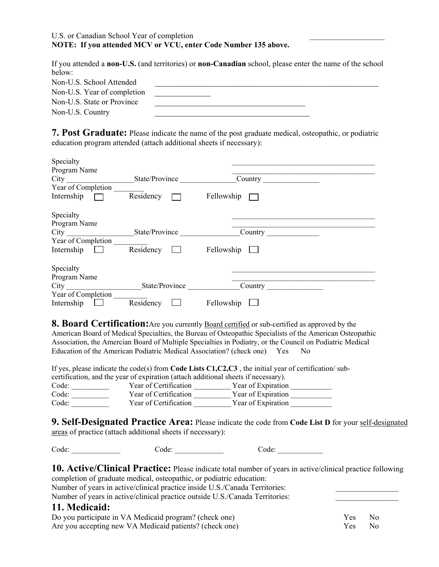#### U.S. or Canadian School Year of completion **NOTE: If you attended MCV or VCU, enter Code Number 135 above.**

If you attended a **non-U.S.** (and territories) or **non-Canadian** school, please enter the name of the school below:

| Non-U.S. School Attended    |  |
|-----------------------------|--|
| Non-U.S. Year of completion |  |
| Non-U.S. State or Province  |  |
| Non-U.S. Country            |  |

**7. Post Graduate:** Please indicate the name of the post graduate medical, osteopathic, or podiatric education program attended (attach additional sheets if necessary):

| Specialty<br>Program Name<br>City<br>Year of Completion | State/Province | Country    |
|---------------------------------------------------------|----------------|------------|
| Internship                                              | Residency      | Fellowship |
| Specialty<br>Program Name                               |                |            |
| City                                                    | State/Province | Country    |
| Year of Completion                                      |                |            |
| Internship                                              | Residency      | Fellowship |
| Specialty<br>Program Name                               |                |            |
| City                                                    | State/Province | Country    |
| Year of Completion                                      |                |            |
| Internship                                              | Residency      | Fellowship |

**8. Board Certification:** Are you currently Board certified or sub-certified as approved by the American Board of Medical Specialties, the Bureau of Osteopathic Specialists of the American Osteopathic Association, the Amercian Board of Multiple Specialties in Podiatry, or the Council on Podiatric Medical Education of the American Podiatric Medical Association? (check one) Yes No

| If yes, please indicate the code(s) from <b>Code Lists C1, C2, C3</b> , the initial year of certification/sub- |  |                       |                    |  |
|----------------------------------------------------------------------------------------------------------------|--|-----------------------|--------------------|--|
| certification, and the year of expiration (attach additional sheets if necessary).                             |  |                       |                    |  |
| Code:                                                                                                          |  | Year of Certification | Year of Expiration |  |
| Code:                                                                                                          |  | Year of Certification | Year of Expiration |  |
| Code:                                                                                                          |  | Year of Certification | Year of Expiration |  |

**9. Self-Designated Practice Area:** Please indicate the code from **Code List D** for your self-designated areas of practice (attach additional sheets if necessary):

Code:  $Code:$ 

| 10. Active/Clinical Practice: Please indicate total number of years in active/clinical practice following |  |
|-----------------------------------------------------------------------------------------------------------|--|
| completion of graduate medical, osteopathic, or podiatric education:                                      |  |
|                                                                                                           |  |

Number of years in active/clinical practice inside U.S./Canada Territories: Number of years in active/clinical practice outside U.S./Canada Territories: **11. Medicaid:**  Do you participate in VA Medicaid program? (check one) Yes No Are you accepting new VA Medicaid patients? (check one) Sex South Check of Ves No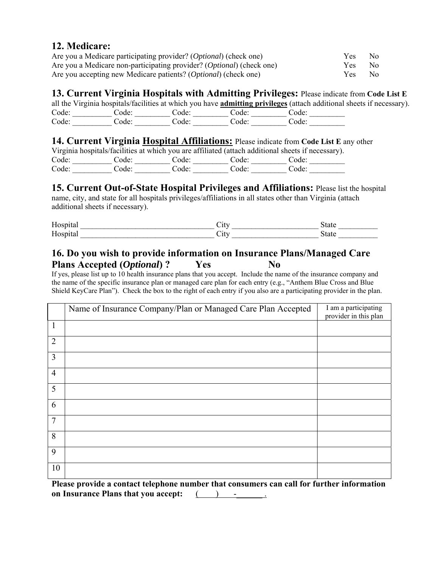### **12. Medicare:**

| Are you a Medicare participating provider? (Optional) (check one)     | Y es       | - No |
|-----------------------------------------------------------------------|------------|------|
| Are you a Medicare non-participating provider? (Optional) (check one) | <b>Yes</b> | - No |
| Are you accepting new Medicare patients? (Optional) (check one)       | Yes.       | - No |

### **13. Current Virginia Hospitals with Admitting Privileges:** Please indicate from **Code List E**

all the Virginia hospitals/facilities at which you have **admitting privileges** (attach additional sheets if necessary). Code: \_\_\_\_\_\_\_\_\_\_ Code: \_\_\_\_\_\_\_\_\_ Code: \_\_\_\_\_\_\_\_\_ Code: \_\_\_\_\_\_\_\_\_ Code: \_\_\_\_\_\_\_\_\_ Code: \_\_\_\_\_\_\_\_\_\_ Code: \_\_\_\_\_\_\_\_\_ Code: \_\_\_\_\_\_\_\_\_ Code: \_\_\_\_\_\_\_\_\_ Code: \_\_\_\_\_\_\_\_\_

### **14. Current Virginia Hospital Affiliations:** Please indicate from **Code List E** any other

|       |       |       |       | Virginia hospitals/facilities at which you are affiliated (attach additional sheets if necessary). |
|-------|-------|-------|-------|----------------------------------------------------------------------------------------------------|
| Code: | Code: | Code: | Code: | Code:                                                                                              |
| Code: | Code: | Code: | Code: | Code:                                                                                              |

### **15. Current Out-of-State Hospital Privileges and Affiliations:** Please list the hospital

name, city, and state for all hospitals privileges/affiliations in all states other than Virginia (attach additional sheets if necessary).

| Hosp<br>ıta.                                                 | `1 t v<br>∪ll | state |
|--------------------------------------------------------------|---------------|-------|
| H <sub>OSD</sub><br>ta<br>11 U.J<br>$\overline{\phantom{a}}$ | `1 f`t<br>◡ェι | state |

### **16. Do you wish to provide information on Insurance Plans/Managed Care**  Plans Accepted (*Optional*) ? Yes No

If yes, please list up to 10 health insurance plans that you accept. Include the name of the insurance company and the name of the specific insurance plan or managed care plan for each entry (e.g., "Anthem Blue Cross and Blue Shield KeyCare Plan"). Check the box to the right of each entry if you also are a participating provider in the plan.

|                | Name of Insurance Company/Plan or Managed Care Plan Accepted | I am a participating<br>provider in this plan |
|----------------|--------------------------------------------------------------|-----------------------------------------------|
| 1              |                                                              |                                               |
| $\overline{2}$ |                                                              |                                               |
| 3              |                                                              |                                               |
| $\overline{4}$ |                                                              |                                               |
| 5              |                                                              |                                               |
| 6              |                                                              |                                               |
| 7              |                                                              |                                               |
| 8              |                                                              |                                               |
| 9              |                                                              |                                               |
| 10             |                                                              |                                               |

**Please provide a contact telephone number that consumers can call for further information on Insurance Plans that you accept:**  $($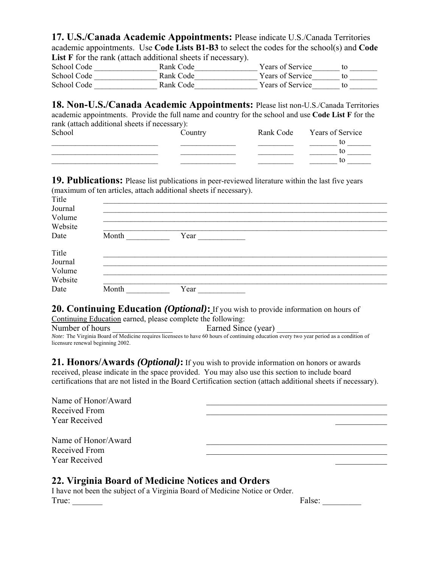**17. U.S./Canada Academic Appointments:** Please indicate U.S./Canada Territories academic appointments. Use **Code Lists B1-B3** to select the codes for the school(s) and **Code**  List F for the rank (attach additional sheets if necessary).

| School Code | Rank Code | Years of Service        |  |
|-------------|-----------|-------------------------|--|
| School Code | Rank Code | <b>Years of Service</b> |  |
| School Code | Rank Code | <b>Years of Service</b> |  |

**18. Non-U.S./Canada Academic Appointments:** Please list non-U.S./Canada Territories academic appointments. Provide the full name and country for the school and use **Code List F** for the rank (attach additional sheets if necessary): School Country Rank Code Years of Service \_\_\_\_\_\_\_\_\_\_\_\_\_\_\_\_\_\_\_\_\_\_\_\_\_\_\_ \_\_\_\_\_\_\_\_\_\_\_\_\_\_ \_\_\_\_\_\_\_\_\_ \_\_\_\_\_\_\_ to \_\_\_\_\_\_  $\frac{1}{\sqrt{1-\frac{1}{2}}}\frac{1}{\sqrt{1-\frac{1}{2}}}\frac{1}{\sqrt{1-\frac{1}{2}}}\frac{1}{\sqrt{1-\frac{1}{2}}}\frac{1}{\sqrt{1-\frac{1}{2}}}\frac{1}{\sqrt{1-\frac{1}{2}}}\frac{1}{\sqrt{1-\frac{1}{2}}}\frac{1}{\sqrt{1-\frac{1}{2}}}\frac{1}{\sqrt{1-\frac{1}{2}}}\frac{1}{\sqrt{1-\frac{1}{2}}}\frac{1}{\sqrt{1-\frac{1}{2}}}\frac{1}{\sqrt{1-\frac{1}{2}}}\frac{1}{\sqrt{1-\frac{1}{2}}}\frac{1}{\sqrt{1-\frac{$ 

**19. Publications:** Please list publications in peer-reviewed literature within the last five years (maximum of ten articles, attach additional sheets if necessary).

| Title   |       |      |  |  |
|---------|-------|------|--|--|
| Journal |       |      |  |  |
| Volume  |       |      |  |  |
| Website |       |      |  |  |
| Date    | Month | Year |  |  |
| Title   |       |      |  |  |
| Journal |       |      |  |  |
| Volume  |       |      |  |  |
| Website |       |      |  |  |
| Date    | Month | Year |  |  |

**20. Continuing Education** *(Optional)*: If you wish to provide information on hours of

Continuing Education earned, please complete the following: Number of hours **Earned Since (year)** Earned Since (year) *Note:* The Virginia Board of Medicine requires licensees to have 60 hours of continuing education every two year period as a condition of licensure renewal beginning 2002.

**21. Honors/Awards** *(Optional)***:** If you wish to provide information on honors or awards received, please indicate in the space provided. You may also use this section to include board certifications that are not listed in the Board Certification section (attach additional sheets if necessary).

| Name of Honor/Award<br>Received From<br><b>Year Received</b> |  |
|--------------------------------------------------------------|--|
| Name of Honor/Award<br>Received From<br><b>Year Received</b> |  |

### **22. Virginia Board of Medicine Notices and Orders**

I have not been the subject of a Virginia Board of Medicine Notice or Order. True: False: \_\_\_\_\_\_\_\_\_

 $\frac{\text{to} \quad \text{to} \quad \text{to} \quad \text{to} \quad \text{to} \quad \text{to} \quad \text{to} \quad \text{to} \quad \text{to} \quad \text{to} \quad \text{to} \quad \text{to} \quad \text{to} \quad \text{to} \quad \text{to} \quad \text{to} \quad \text{to} \quad \text{to} \quad \text{to} \quad \text{to} \quad \text{to} \quad \text{to} \quad \text{to} \quad \text{to} \quad \text{to} \quad \text{to} \quad \text{to} \quad \text{to} \quad \text{to} \quad \text{to} \quad \text{to} \quad \$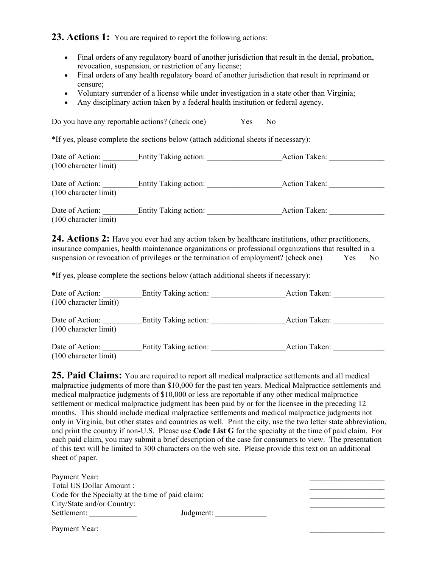23. Actions 1: You are required to report the following actions:

- Final orders of any regulatory board of another jurisdiction that result in the denial, probation, revocation, suspension, or restriction of any license;
- Final orders of any health regulatory board of another jurisdiction that result in reprimand or censure;
- Voluntary surrender of a license while under investigation in a state other than Virginia;
- Any disciplinary action taken by a federal health institution or federal agency.

Do you have any reportable actions? (check one) Yes No

\*If yes, please complete the sections below (attach additional sheets if necessary):

| Date of Action:<br>$(100 \text{ character limit})$ | Entity Taking action: | Action Taken: |
|----------------------------------------------------|-----------------------|---------------|
| Date of Action:<br>$(100 \text{ character limit})$ | Entity Taking action: | Action Taken: |

Date of Action: \_\_\_\_\_\_\_\_\_Entity Taking action: \_\_\_\_\_\_\_\_\_\_\_\_\_\_\_\_\_\_\_Action Taken: \_\_\_\_\_\_\_\_\_\_\_\_\_\_ (100 character limit)

**24. Actions 2:** Have you ever had any action taken by healthcare institutions, other practitioners, insurance companies, health maintenance organizations or professional organizations that resulted in a suspension or revocation of privileges or the termination of employment? (check one) Yes No

\*If yes, please complete the sections below (attach additional sheets if necessary):

| Date of Action:<br>$(100 \text{ character limit})$ | Entity Taking action: | Action Taken:        |  |
|----------------------------------------------------|-----------------------|----------------------|--|
| Date of Action:<br>$(100 \text{ character limit})$ | Entity Taking action: | <b>Action Taken:</b> |  |
| Date of Action:<br>$(100 \text{ character limit})$ | Entity Taking action: | Action Taken:        |  |

**25. Paid Claims:** You are required to report all medical malpractice settlements and all medical malpractice judgments of more than \$10,000 for the past ten years. Medical Malpractice settlements and medical malpractice judgments of \$10,000 or less are reportable if any other medical malpractice settlement or medical malpractice judgment has been paid by or for the licensee in the preceding 12 months. This should include medical malpractice settlements and medical malpractice judgments not only in Virginia, but other states and countries as well. Print the city, use the two letter state abbreviation, and print the country if non-U.S. Please use **Code List G** for the specialty at the time of paid claim. For each paid claim, you may submit a brief description of the case for consumers to view. The presentation of this text will be limited to 300 characters on the web site. Please provide this text on an additional sheet of paper.

| Payment Year:                                     |           |  |
|---------------------------------------------------|-----------|--|
| Total US Dollar Amount:                           |           |  |
| Code for the Specialty at the time of paid claim: |           |  |
| City/State and/or Country:                        |           |  |
| Settlement:                                       | Judgment: |  |
|                                                   |           |  |

Payment Year: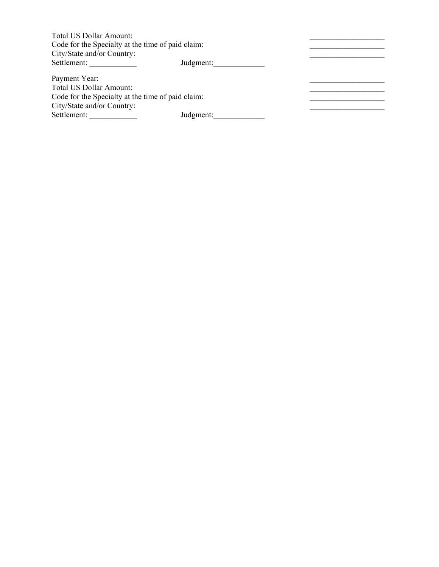| Total US Dollar Amount:                           |           |  |
|---------------------------------------------------|-----------|--|
| Code for the Specialty at the time of paid claim: |           |  |
| City/State and/or Country:                        |           |  |
| Settlement:                                       | Judgment: |  |
| Payment Year:                                     |           |  |
| Total US Dollar Amount:                           |           |  |
| Code for the Specialty at the time of paid claim: |           |  |
| City/State and/or Country:                        |           |  |
| Settlement:                                       | Judgment: |  |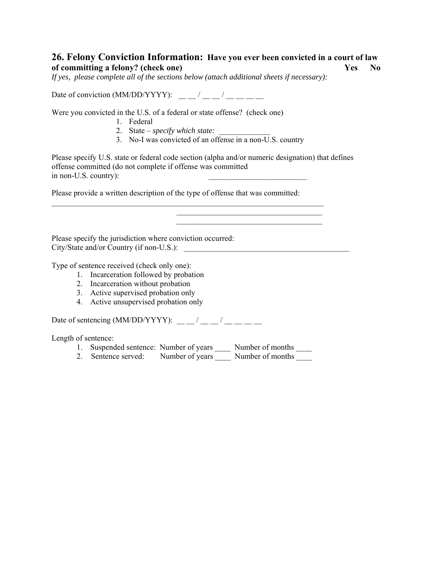### **26. Felony Conviction Information: Have you ever been convicted in a court of law of committing a felony? (check one) Yes No**

*If yes, please complete all of the sections below (attach additional sheets if necessary):* 

Date of conviction  $(MM/DD/YYYY)$ :  $/$ 

Were you convicted in the U.S. of a federal or state offense? (check one)

- 1. Federal
- 2. State *specify which state:*
- 3. No-I was convicted of an offense in a non-U.S. country

Please specify U.S. state or federal code section (alpha and/or numeric designation) that defines offense committed (do not complete if offense was committed in non-U.S. country):

Please provide a written description of the type of offense that was committed:

 $\mathcal{L}_\text{max} = \frac{1}{2} \sum_{i=1}^n \mathcal{L}_\text{max}(\mathbf{x}_i - \mathbf{y}_i)$  $\mathcal{L}_\text{max}$  and  $\mathcal{L}_\text{max}$  and  $\mathcal{L}_\text{max}$  and  $\mathcal{L}_\text{max}$  $\mathcal{L}_\text{max}$  and  $\mathcal{L}_\text{max}$  and  $\mathcal{L}_\text{max}$  and  $\mathcal{L}_\text{max}$  and  $\mathcal{L}_\text{max}$ 

Please specify the jurisdiction where conviction occurred: City/State and/or Country (if non-U.S.):

Type of sentence received (check only one):

- 1. Incarceration followed by probation
- 2. Incarceration without probation
- 3. Active supervised probation only
- 4. Active unsupervised probation only

Date of sentencing (MM/DD/YYYY):  $\frac{1}{2}$   $\frac{1}{2}$   $\frac{1}{2}$   $\frac{1}{2}$   $\frac{1}{2}$   $\frac{1}{2}$   $\frac{1}{2}$   $\frac{1}{2}$   $\frac{1}{2}$ 

Length of sentence:

- 1. Suspended sentence: Number of years \_\_\_\_\_ Number of months \_\_\_\_\_
- 2. Sentence served: Number of years Number of months Number of months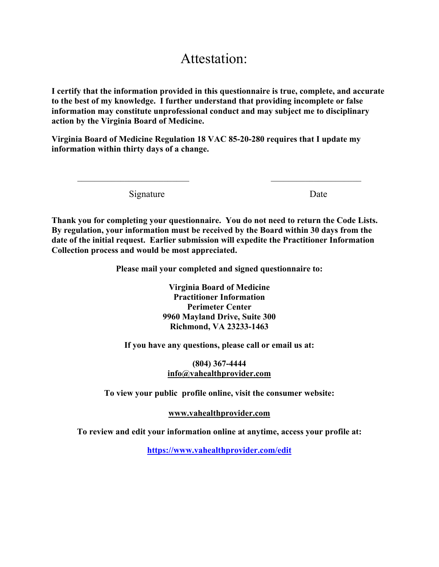# Attestation:

**I certify that the information provided in this questionnaire is true, complete, and accurate to the best of my knowledge. I further understand that providing incomplete or false information may constitute unprofessional conduct and may subject me to disciplinary action by the Virginia Board of Medicine.** 

**Virginia Board of Medicine Regulation 18 VAC 85-20-280 requires that I update my information within thirty days of a change.** 

 $\mathcal{L}_\text{max} = \frac{1}{2} \sum_{i=1}^{n} \frac{1}{2} \sum_{i=1}^{n} \frac{1}{2} \sum_{i=1}^{n} \frac{1}{2} \sum_{i=1}^{n} \frac{1}{2} \sum_{i=1}^{n} \frac{1}{2} \sum_{i=1}^{n} \frac{1}{2} \sum_{i=1}^{n} \frac{1}{2} \sum_{i=1}^{n} \frac{1}{2} \sum_{i=1}^{n} \frac{1}{2} \sum_{i=1}^{n} \frac{1}{2} \sum_{i=1}^{n} \frac{1}{2} \sum_{i=1}^{n} \frac{1$ 

Signature Date

**Thank you for completing your questionnaire. You do not need to return the Code Lists. By regulation, your information must be received by the Board within 30 days from the date of the initial request. Earlier submission will expedite the Practitioner Information Collection process and would be most appreciated.** 

**Please mail your completed and signed questionnaire to:** 

**Virginia Board of Medicine Practitioner Information Perimeter Center 9960 Mayland Drive, Suite 300 Richmond, VA 23233-1463** 

**If you have any questions, please call or email us at:** 

### **(804) 367-4444 info@vahealthprovider.com**

**To view your public profile online, visit the consumer website:** 

**www.vahealthprovider.com**

**To review and edit your information online at anytime, access your profile at:** 

**https://www.vahealthprovider.com/edit**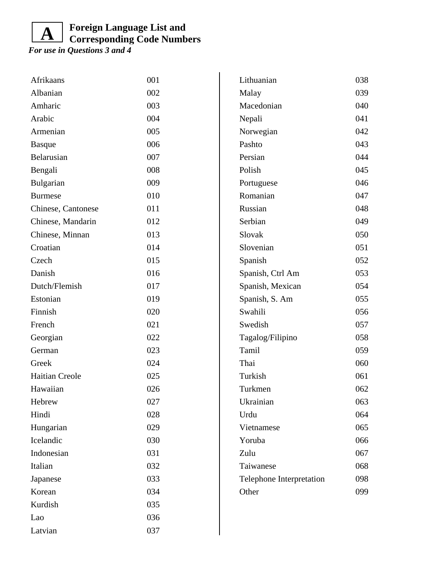#### **Foreign Language List and Corresponding Code Numbers A**

| Afrikaans          | 001 | Lithuanian               | 038 |
|--------------------|-----|--------------------------|-----|
| Albanian           | 002 | Malay                    | 039 |
| Amharic            | 003 | Macedonian               | 040 |
| Arabic             | 004 | Nepali                   | 041 |
| Armenian           | 005 | Norwegian                | 042 |
| <b>Basque</b>      | 006 | Pashto                   | 043 |
| Belarusian         | 007 | Persian                  | 044 |
| Bengali            | 008 | Polish                   | 045 |
| Bulgarian          | 009 | Portuguese               | 046 |
| <b>Burmese</b>     | 010 | Romanian                 | 047 |
| Chinese, Cantonese | 011 | Russian                  | 048 |
| Chinese, Mandarin  | 012 | Serbian                  | 049 |
| Chinese, Minnan    | 013 | Slovak                   | 050 |
| Croatian           | 014 | Slovenian                | 051 |
| Czech              | 015 | Spanish                  | 052 |
| Danish             | 016 | Spanish, Ctrl Am         | 053 |
| Dutch/Flemish      | 017 | Spanish, Mexican         | 054 |
| Estonian           | 019 | Spanish, S. Am           | 055 |
| Finnish            | 020 | Swahili                  | 056 |
| French             | 021 | Swedish                  | 057 |
| Georgian           | 022 | Tagalog/Filipino         | 058 |
| German             | 023 | Tamil                    | 059 |
| Greek              | 024 | Thai                     | 060 |
| Haitian Creole     | 025 | Turkish                  | 061 |
| Hawaiian           | 026 | Turkmen                  | 062 |
| Hebrew             | 027 | Ukrainian                | 063 |
| Hindi              | 028 | Urdu                     | 064 |
| Hungarian          | 029 | Vietnamese               | 065 |
| Icelandic          | 030 | Yoruba                   | 066 |
| Indonesian         | 031 | Zulu                     | 067 |
| Italian            | 032 | Taiwanese                | 068 |
| Japanese           | 033 | Telephone Interpretation | 098 |
| Korean             | 034 | Other                    | 099 |
| Kurdish            | 035 |                          |     |
| Lao                | 036 |                          |     |
| Latvian            | 037 |                          |     |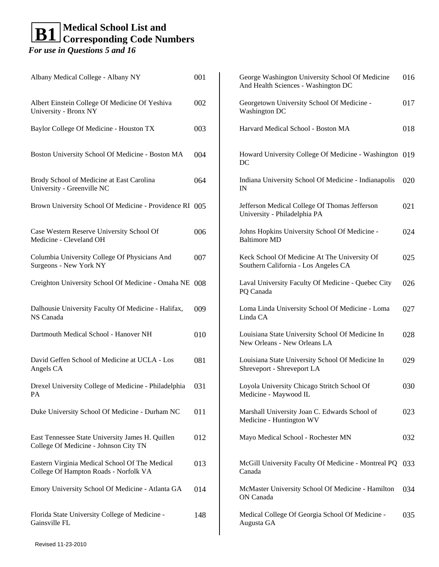| 001                                                     | George Washington University School Of Medicine<br>And Health Sciences - Washington DC | 016 |
|---------------------------------------------------------|----------------------------------------------------------------------------------------|-----|
| 002                                                     | Georgetown University School Of Medicine -<br><b>Washington DC</b>                     | 017 |
| 003                                                     | Harvard Medical School - Boston MA                                                     | 018 |
| 004                                                     | Howard University College Of Medicine - Washington 019<br>DC                           |     |
| 064                                                     | Indiana University School Of Medicine - Indianapolis<br>IN                             | 020 |
| Brown University School Of Medicine - Providence RI 005 | Jefferson Medical College Of Thomas Jefferson<br>University - Philadelphia PA          | 021 |
| 006                                                     | Johns Hopkins University School Of Medicine -<br><b>Baltimore MD</b>                   | 024 |
| 007                                                     | Keck School Of Medicine At The University Of<br>Southern California - Los Angeles CA   | 025 |
| Creighton University School Of Medicine - Omaha NE 008  | Laval University Faculty Of Medicine - Quebec City<br>PQ Canada                        | 026 |
| 009                                                     | Loma Linda University School Of Medicine - Loma<br>Linda CA                            | 027 |
| 010                                                     | Louisiana State University School Of Medicine In<br>New Orleans - New Orleans LA       | 028 |
| 081                                                     | Louisiana State University School Of Medicine In<br>Shreveport - Shreveport LA         | 029 |
| 031                                                     | Loyola University Chicago Stritch School Of<br>Medicine - Maywood IL                   | 030 |
| 011                                                     | Marshall University Joan C. Edwards School of<br>Medicine - Huntington WV              | 023 |
| 012                                                     | Mayo Medical School - Rochester MN                                                     | 032 |
| 013                                                     | McGill University Faculty Of Medicine - Montreal PQ<br>Canada                          | 033 |
| 014                                                     | McMaster University School Of Medicine - Hamilton<br>ON Canada                         | 034 |
| 148                                                     | Medical College Of Georgia School Of Medicine -<br>Augusta GA                          | 035 |
|                                                         |                                                                                        |     |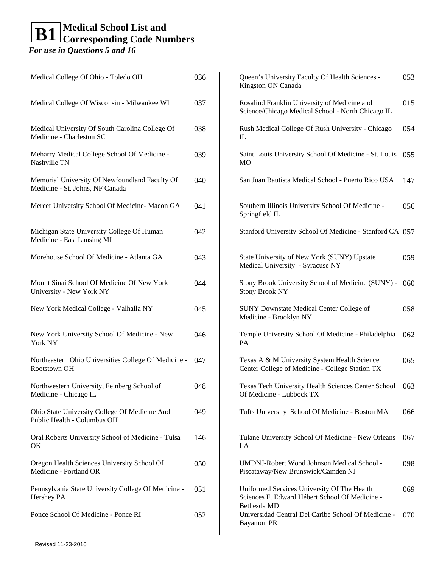### **Medical School List and Corresponding Code Numbers B1**

| Medical College Of Ohio - Toledo OH                                               | 036 | Queen's University Faculty Of Health Sciences -<br>Kingston ON Canada                                        | 053 |
|-----------------------------------------------------------------------------------|-----|--------------------------------------------------------------------------------------------------------------|-----|
| Medical College Of Wisconsin - Milwaukee WI                                       | 037 | Rosalind Franklin University of Medicine and<br>Science/Chicago Medical School - North Chicago IL            | 015 |
| Medical University Of South Carolina College Of<br>Medicine - Charleston SC       | 038 | Rush Medical College Of Rush University - Chicago<br>IL                                                      | 054 |
| Meharry Medical College School Of Medicine -<br>Nashville TN                      | 039 | Saint Louis University School Of Medicine - St. Louis<br>MO                                                  | 055 |
| Memorial University Of Newfoundland Faculty Of<br>Medicine - St. Johns, NF Canada | 040 | San Juan Bautista Medical School - Puerto Rico USA                                                           | 147 |
| Mercer University School Of Medicine- Macon GA                                    | 041 | Southern Illinois University School Of Medicine -<br>Springfield IL                                          | 056 |
| Michigan State University College Of Human<br>Medicine - East Lansing MI          | 042 | Stanford University School Of Medicine - Stanford CA 057                                                     |     |
| Morehouse School Of Medicine - Atlanta GA                                         | 043 | State University of New York (SUNY) Upstate<br>Medical University - Syracuse NY                              | 059 |
| Mount Sinai School Of Medicine Of New York<br>University - New York NY            | 044 | Stony Brook University School of Medicine (SUNY) -<br><b>Stony Brook NY</b>                                  | 060 |
| New York Medical College - Valhalla NY                                            | 045 | <b>SUNY Downstate Medical Center College of</b><br>Medicine - Brooklyn NY                                    | 058 |
| New York University School Of Medicine - New<br>York NY                           | 046 | Temple University School Of Medicine - Philadelphia<br>PA                                                    | 062 |
| Northeastern Ohio Universities College Of Medicine -<br>Rootstown OH              | 047 | Texas A & M University System Health Science<br>Center College of Medicine - College Station TX              | 065 |
| Northwestern University, Feinberg School of<br>Medicine - Chicago IL              | 048 | Texas Tech University Health Sciences Center School<br>Of Medicine - Lubbock TX                              | 063 |
| Ohio State University College Of Medicine And<br>Public Health - Columbus OH      | 049 | Tufts University School Of Medicine - Boston MA                                                              | 066 |
| Oral Roberts University School of Medicine - Tulsa<br>OK                          | 146 | Tulane University School Of Medicine - New Orleans<br>LA                                                     | 067 |
| Oregon Health Sciences University School Of<br>Medicine - Portland OR             | 050 | UMDNJ-Robert Wood Johnson Medical School -<br>Piscataway/New Brunswick/Camden NJ                             | 098 |
| Pennsylvania State University College Of Medicine -<br>Hershey PA                 | 051 | Uniformed Services University Of The Health<br>Sciences F. Edward Hébert School Of Medicine -<br>Bethesda MD | 069 |
| Ponce School Of Medicine - Ponce RI                                               | 052 | Universidad Central Del Caribe School Of Medicine -<br><b>Bayamon PR</b>                                     | 070 |
|                                                                                   |     |                                                                                                              |     |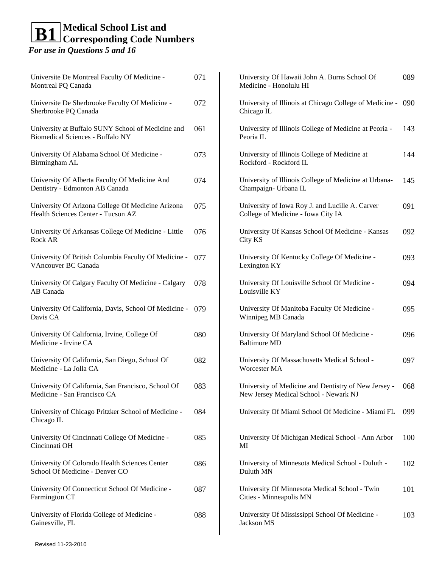| Universite De Montreal Faculty Of Medicine -<br>Montreal PQ Canada                      | 071 | University Of Hawaii John A. Burns School Of<br>Medicine - Honolulu HI                        | 089 |
|-----------------------------------------------------------------------------------------|-----|-----------------------------------------------------------------------------------------------|-----|
| Universite De Sherbrooke Faculty Of Medicine -<br>Sherbrooke PQ Canada                  | 072 | University of Illinois at Chicago College of Medicine -<br>Chicago IL                         | 090 |
| University at Buffalo SUNY School of Medicine and<br>Biomedical Sciences - Buffalo NY   | 061 | University of Illinois College of Medicine at Peoria -<br>Peoria IL                           | 143 |
| University Of Alabama School Of Medicine -<br>Birmingham AL                             | 073 | University of Illinois College of Medicine at<br>Rockford - Rockford IL                       | 144 |
| University Of Alberta Faculty Of Medicine And<br>Dentistry - Edmonton AB Canada         | 074 | University of Illinois College of Medicine at Urbana-<br>Champaign- Urbana IL                 | 145 |
| University Of Arizona College Of Medicine Arizona<br>Health Sciences Center - Tucson AZ | 075 | University of Iowa Roy J. and Lucille A. Carver<br>College of Medicine - Iowa City IA         | 091 |
| University Of Arkansas College Of Medicine - Little<br>Rock AR                          | 076 | University Of Kansas School Of Medicine - Kansas<br>City KS                                   | 092 |
| University Of British Columbia Faculty Of Medicine -<br>VAncouver BC Canada             | 077 | University Of Kentucky College Of Medicine -<br>Lexington KY                                  | 093 |
| University Of Calgary Faculty Of Medicine - Calgary<br>AB Canada                        | 078 | University Of Louisville School Of Medicine -<br>Louisville KY                                | 094 |
| University Of California, Davis, School Of Medicine -<br>Davis CA                       | 079 | University Of Manitoba Faculty Of Medicine -<br>Winnipeg MB Canada                            | 095 |
| University Of California, Irvine, College Of<br>Medicine - Irvine CA                    | 080 | University Of Maryland School Of Medicine -<br><b>Baltimore MD</b>                            | 096 |
| University Of California, San Diego, School Of<br>Medicine - La Jolla CA                | 082 | University Of Massachusetts Medical School -<br>Worcester MA                                  | 097 |
| University Of California, San Francisco, School Of<br>Medicine - San Francisco CA       | 083 | University of Medicine and Dentistry of New Jersey -<br>New Jersey Medical School - Newark NJ | 068 |
| University of Chicago Pritzker School of Medicine -<br>Chicago IL                       | 084 | University Of Miami School Of Medicine - Miami FL                                             | 099 |
| University Of Cincinnati College Of Medicine -<br>Cincinnati OH                         | 085 | University Of Michigan Medical School - Ann Arbor<br>MI                                       | 100 |
| University Of Colorado Health Sciences Center<br>School Of Medicine - Denver CO         | 086 | University of Minnesota Medical School - Duluth -<br>Duluth MN                                | 102 |
| University Of Connecticut School Of Medicine -<br>Farmington CT                         | 087 | University Of Minnesota Medical School - Twin<br>Cities - Minneapolis MN                      | 101 |
| University of Florida College of Medicine -<br>Gainesville, FL                          | 088 | University Of Mississippi School Of Medicine -<br>Jackson MS                                  | 103 |
|                                                                                         |     |                                                                                               |     |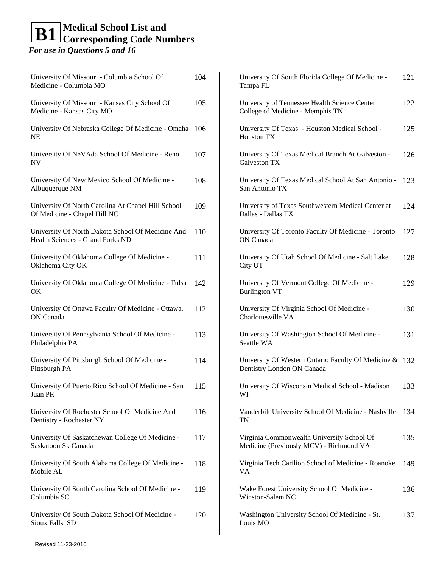University Of Missouri - Columbia School Medicine - Columbia MO University Of Missouri - Kansas City Scho Medicine - Kansas City MO University Of Nebraska College Of Medicine NE University Of NeVAda School Of Medicine

University Of New Mexico School Of Med Albuquerque NM

NV

**OK** 

University Of North Carolina At Chapel Hi Of Medicine - Chapel Hill NC

University Of North Dakota School Of Med Health Sciences - Grand Forks ND

University Of Oklahoma College Of Medic Oklahoma City OK University Of Oklahoma College Of Medic

University Of Ottawa Faculty Of Medicine ON Canada

University Of Pennsylvania School Of Med Philadelphia PA

University Of Pittsburgh School Of Medicine Pittsburgh PA University Of Puerto Rico School Of Medio Juan PR

University Of Rochester School Of Medicine Dentistry - Rochester NY

University Of Saskatchewan College Of Me Saskatoon Sk Canada

University Of South Alabama College Of M Mobile AL

University Of South Carolina School Of Me Columbia SC

University Of South Dakota School Of Med Sioux Falls SD

| <b>Of</b>      | 104 | University Of South Florida College Of Medicine -<br>Tampa FL                         | 121 |
|----------------|-----|---------------------------------------------------------------------------------------|-----|
| ol Of          | 105 | University of Tennessee Health Science Center<br>College of Medicine - Memphis TN     | 122 |
| ne - Omaha 106 |     | University Of Texas - Houston Medical School -<br><b>Houston TX</b>                   | 125 |
| e - Reno       | 107 | University Of Texas Medical Branch At Galveston -<br>Galveston TX                     | 126 |
| licine -       | 108 | University Of Texas Medical School At San Antonio -<br>San Antonio TX                 | 123 |
| ill School     | 109 | University of Texas Southwestern Medical Center at<br>Dallas - Dallas TX              | 124 |
| dicine And     | 110 | University Of Toronto Faculty Of Medicine - Toronto<br>ON Canada                      | 127 |
| ine -          | 111 | University Of Utah School Of Medicine - Salt Lake<br>City UT                          | 128 |
| cine - Tulsa   | 142 | University Of Vermont College Of Medicine -<br><b>Burlington VT</b>                   | 129 |
| - Ottawa,      | 112 | University Of Virginia School Of Medicine -<br>Charlottesville VA                     | 130 |
| licine -       | 113 | University Of Washington School Of Medicine -<br>Seattle WA                           | 131 |
| ne -           | 114 | University Of Western Ontario Faculty Of Medicine & 132<br>Dentistry London ON Canada |     |
| cine - San     | 115 | University Of Wisconsin Medical School - Madison<br>WI                                | 133 |
| ne And         | 116 | Vanderbilt University School Of Medicine - Nashville<br>TN                            | 134 |
| edicine -      | 117 | Virginia Commonwealth University School Of<br>Medicine (Previously MCV) - Richmond VA | 135 |
| Aedicine -     | 118 | Virginia Tech Carilion School of Medicine - Roanoke<br>VA                             | 149 |
| edicine -      | 119 | Wake Forest University School Of Medicine -<br>Winston-Salem NC                       | 136 |
| dicine -       | 120 | Washington University School Of Medicine - St.                                        | 137 |

Louis MO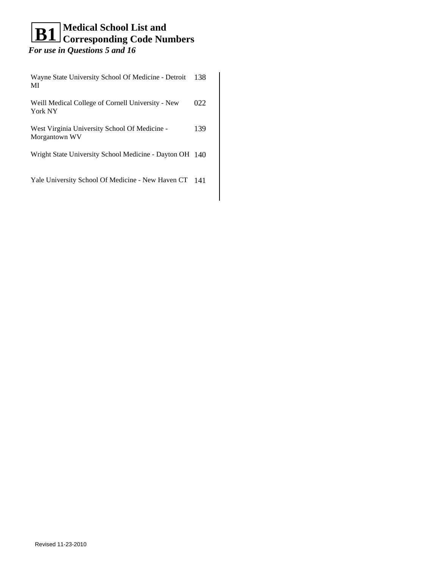| Wayne State University School Of Medicine - Detroit<br>MI      | 138 |
|----------------------------------------------------------------|-----|
| Weill Medical College of Cornell University - New<br>York NY   | 022 |
| West Virginia University School Of Medicine -<br>Morgantown WV | 139 |
| Wright State University School Medicine - Dayton OH 140        |     |
| Yale University School Of Medicine - New Haven CT              | 141 |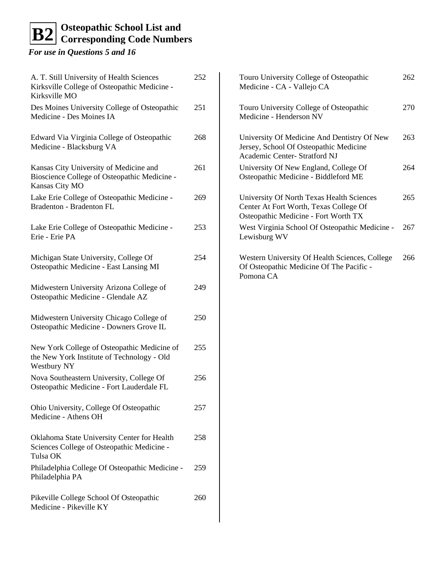# **Osteopathic School List and**   $\mathbf{B2}$  Osteopathic School List and<br>Corresponding Code Numbers

*For use in Questions 5 and 16*

| A. T. Still University of Health Sciences<br>Kirksville College of Osteopathic Medicine -<br>Kirksville MO | 252 | Touro University College of Osteopathic<br>Medicine - CA - Vallejo CA                                                       | 262 |
|------------------------------------------------------------------------------------------------------------|-----|-----------------------------------------------------------------------------------------------------------------------------|-----|
| Des Moines University College of Osteopathic<br>Medicine - Des Moines IA                                   | 251 | Touro University College of Osteopathic<br>Medicine - Henderson NV                                                          | 270 |
| Edward Via Virginia College of Osteopathic<br>Medicine - Blacksburg VA                                     | 268 | University Of Medicine And Dentistry Of New<br>Jersey, School Of Osteopathic Medicine<br>Academic Center- Stratford NJ      | 263 |
| Kansas City University of Medicine and<br>Bioscience College of Osteopathic Medicine -<br>Kansas City MO   | 261 | University Of New England, College Of<br>Osteopathic Medicine - Biddleford ME                                               | 264 |
| Lake Erie College of Osteopathic Medicine -<br>Bradenton - Bradenton FL                                    | 269 | University Of North Texas Health Sciences<br>Center At Fort Worth, Texas College Of<br>Osteopathic Medicine - Fort Worth TX | 265 |
| Lake Erie College of Osteopathic Medicine -<br>Erie - Erie PA                                              | 253 | West Virginia School Of Osteopathic Medicine -<br>Lewisburg WV                                                              | 267 |
| Michigan State University, College Of<br>Osteopathic Medicine - East Lansing MI                            | 254 | Western University Of Health Sciences, College<br>Of Osteopathic Medicine Of The Pacific -<br>Pomona CA                     | 266 |
| Midwestern University Arizona College of<br>Osteopathic Medicine - Glendale AZ                             | 249 |                                                                                                                             |     |
| Midwestern University Chicago College of<br>Osteopathic Medicine - Downers Grove IL                        | 250 |                                                                                                                             |     |
| New York College of Osteopathic Medicine of<br>the New York Institute of Technology - Old<br>Westbury NY   | 255 |                                                                                                                             |     |
| Nova Southeastern University, College Of<br>Osteopathic Medicine - Fort Lauderdale FL                      | 256 |                                                                                                                             |     |
| Ohio University, College Of Osteopathic<br>Medicine - Athens OH                                            | 257 |                                                                                                                             |     |
| Oklahoma State University Center for Health<br>Sciences College of Osteopathic Medicine -<br>Tulsa OK      | 258 |                                                                                                                             |     |
| Philadelphia College Of Osteopathic Medicine -<br>Philadelphia PA                                          | 259 |                                                                                                                             |     |
| Pikeville College School Of Osteopathic<br>Medicine - Pikeville KY                                         | 260 |                                                                                                                             |     |

 $\Big\}$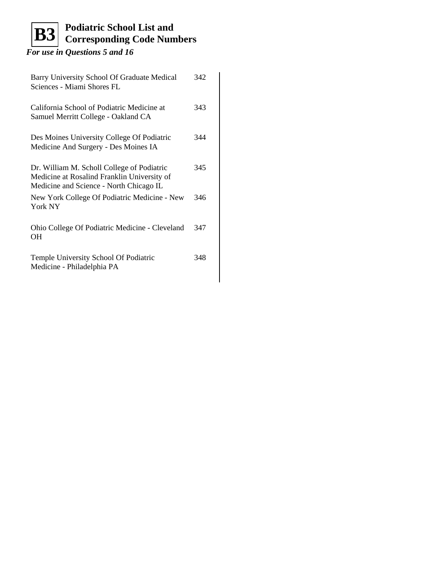#### **Podiatric School List and Corresponding Code Numbers B3**

| Barry University School Of Graduate Medical<br>Sciences - Miami Shores FL                                                            | 342 |
|--------------------------------------------------------------------------------------------------------------------------------------|-----|
| California School of Podiatric Medicine at<br>Samuel Merritt College - Oakland CA                                                    | 343 |
| Des Moines University College Of Podiatric<br>Medicine And Surgery - Des Moines IA                                                   | 344 |
| Dr. William M. Scholl College of Podiatric<br>Medicine at Rosalind Franklin University of<br>Medicine and Science - North Chicago IL | 345 |
| New York College Of Podiatric Medicine - New<br>York NY                                                                              | 346 |
| Ohio College Of Podiatric Medicine - Cleveland<br>OН                                                                                 | 347 |
| Temple University School Of Podiatric<br>Medicine - Philadelphia PA                                                                  | 348 |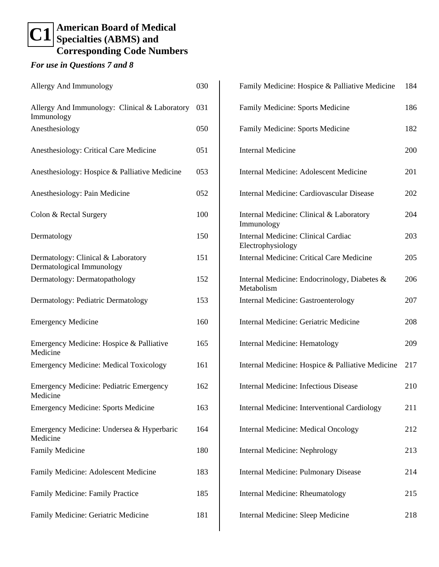### **American Board of Medical C1** Specialties (ABMS) and **Corresponding Code Numbers**

| Allergy And Immunology                                          | 030 |
|-----------------------------------------------------------------|-----|
| Allergy And Immunology: Clinical & Laboratory<br>Immunology     | 031 |
| Anesthesiology                                                  | 050 |
| Anesthesiology: Critical Care Medicine                          | 051 |
| Anesthesiology: Hospice & Palliative Medicine                   | 053 |
| Anesthesiology: Pain Medicine                                   | 052 |
| Colon & Rectal Surgery                                          | 100 |
| Dermatology                                                     | 150 |
| Dermatology: Clinical & Laboratory<br>Dermatological Immunology | 151 |
| Dermatology: Dermatopathology                                   | 152 |
| Dermatology: Pediatric Dermatology                              | 153 |
| <b>Emergency Medicine</b>                                       | 160 |
| Emergency Medicine: Hospice & Palliative<br>Medicine            | 165 |
| <b>Emergency Medicine: Medical Toxicology</b>                   | 161 |
| <b>Emergency Medicine: Pediatric Emergency</b><br>Medicine      | 162 |
| <b>Emergency Medicine: Sports Medicine</b>                      | 163 |
| Emergency Medicine: Undersea & Hyperbaric<br>Medicine           | 164 |
| <b>Family Medicine</b>                                          | 180 |
| Family Medicine: Adolescent Medicine                            | 183 |
| Family Medicine: Family Practice                                | 185 |
| Family Medicine: Geriatric Medicine                             | 181 |

| Family Medicine: Hospice & Palliative Medicine             | 184 |
|------------------------------------------------------------|-----|
| Family Medicine: Sports Medicine                           | 186 |
| Family Medicine: Sports Medicine                           | 182 |
| <b>Internal Medicine</b>                                   | 200 |
| Internal Medicine: Adolescent Medicine                     | 201 |
| Internal Medicine: Cardiovascular Disease                  | 202 |
| Internal Medicine: Clinical & Laboratory<br>Immunology     | 204 |
| Internal Medicine: Clinical Cardiac<br>Electrophysiology   | 203 |
| <b>Internal Medicine: Critical Care Medicine</b>           | 205 |
| Internal Medicine: Endocrinology, Diabetes &<br>Metabolism | 206 |
| Internal Medicine: Gastroenterology                        | 207 |
| Internal Medicine: Geriatric Medicine                      | 208 |
| Internal Medicine: Hematology                              | 209 |
| Internal Medicine: Hospice & Palliative Medicine           | 217 |
| <b>Internal Medicine: Infectious Disease</b>               | 210 |
| Internal Medicine: Interventional Cardiology               | 211 |
| <b>Internal Medicine: Medical Oncology</b>                 | 212 |
| <b>Internal Medicine: Nephrology</b>                       | 213 |
| <b>Internal Medicine: Pulmonary Disease</b>                | 214 |
| <b>Internal Medicine: Rheumatology</b>                     | 215 |
| Internal Medicine: Sleep Medicine                          | 218 |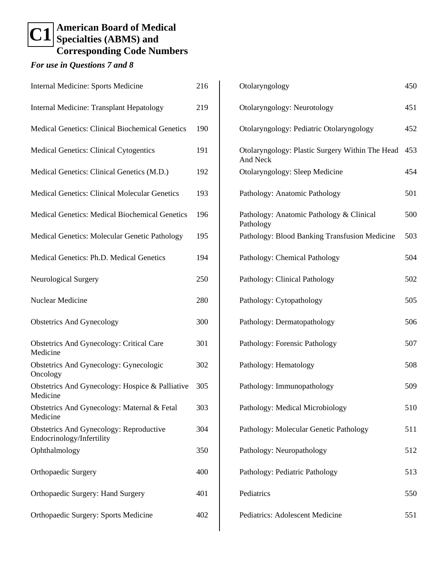# **American Board of Medical C1** Specialties (ABMS) and **Corresponding Code Numbers**

| <b>Internal Medicine: Sports Medicine</b>                                   | 216 |
|-----------------------------------------------------------------------------|-----|
| Internal Medicine: Transplant Hepatology                                    | 219 |
| <b>Medical Genetics: Clinical Biochemical Genetics</b>                      | 190 |
| <b>Medical Genetics: Clinical Cytogentics</b>                               | 191 |
| Medical Genetics: Clinical Genetics (M.D.)                                  | 192 |
| <b>Medical Genetics: Clinical Molecular Genetics</b>                        | 193 |
| <b>Medical Genetics: Medical Biochemical Genetics</b>                       | 196 |
| <b>Medical Genetics: Molecular Genetic Pathology</b>                        | 195 |
| Medical Genetics: Ph.D. Medical Genetics                                    | 194 |
| Neurological Surgery                                                        | 250 |
| <b>Nuclear Medicine</b>                                                     | 280 |
| <b>Obstetrics And Gynecology</b>                                            | 300 |
| <b>Obstetrics And Gynecology: Critical Care</b><br>Medicine                 | 301 |
| <b>Obstetrics And Gynecology: Gynecologic</b><br>Oncology                   | 302 |
| Obstetrics And Gynecology: Hospice & Palliative<br>Medicine                 | 305 |
| Obstetrics And Gynecology: Maternal & Fetal<br>Medicine                     | 303 |
| <b>Obstetrics And Gynecology: Reproductive</b><br>Endocrinology/Infertility | 304 |
| Ophthalmology                                                               | 350 |
| <b>Orthopaedic Surgery</b>                                                  | 400 |
| Orthopaedic Surgery: Hand Surgery                                           | 401 |
| Orthopaedic Surgery: Sports Medicine                                        | 402 |

| Otolaryngology                                                     | 450 |
|--------------------------------------------------------------------|-----|
| Otolaryngology: Neurotology                                        | 451 |
| Otolaryngology: Pediatric Otolaryngology                           | 452 |
| Otolaryngology: Plastic Surgery Within The Head<br><b>And Neck</b> | 453 |
| Otolaryngology: Sleep Medicine                                     | 454 |
| Pathology: Anatomic Pathology                                      | 501 |
| Pathology: Anatomic Pathology & Clinical<br>Pathology              | 500 |
| Pathology: Blood Banking Transfusion Medicine                      | 503 |
| Pathology: Chemical Pathology                                      | 504 |
| Pathology: Clinical Pathology                                      | 502 |
| Pathology: Cytopathology                                           | 505 |
| Pathology: Dermatopathology                                        | 506 |
| Pathology: Forensic Pathology                                      | 507 |
| Pathology: Hematology                                              | 508 |
| Pathology: Immunopathology                                         | 509 |
| Pathology: Medical Microbiology                                    | 510 |
| Pathology: Molecular Genetic Pathology                             | 511 |
| Pathology: Neuropathology                                          | 512 |
| Pathology: Pediatric Pathology                                     | 513 |
| Pediatrics                                                         | 550 |
| Pediatrics: Adolescent Medicine                                    | 551 |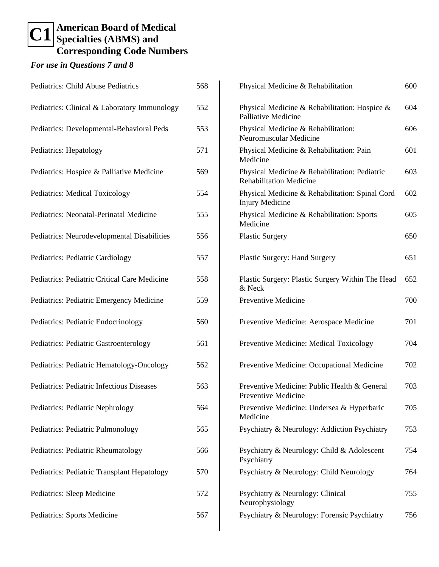#### **American Board of Medical Specialties (ABMS) and Corresponding Code Numbers C1**

| Pediatrics: Child Abuse Pediatrics           | 568 |
|----------------------------------------------|-----|
| Pediatrics: Clinical & Laboratory Immunology | 552 |
| Pediatrics: Developmental-Behavioral Peds    | 553 |
| Pediatrics: Hepatology                       | 571 |
| Pediatrics: Hospice & Palliative Medicine    | 569 |
| <b>Pediatrics: Medical Toxicology</b>        | 554 |
| Pediatrics: Neonatal-Perinatal Medicine      | 555 |
| Pediatrics: Neurodevelopmental Disabilities  | 556 |
| Pediatrics: Pediatric Cardiology             | 557 |
| Pediatrics: Pediatric Critical Care Medicine | 558 |
| Pediatrics: Pediatric Emergency Medicine     | 559 |
| Pediatrics: Pediatric Endocrinology          | 560 |
| Pediatrics: Pediatric Gastroenterology       | 561 |
| Pediatrics: Pediatric Hematology-Oncology    | 562 |
| Pediatrics: Pediatric Infectious Diseases    | 563 |
| Pediatrics: Pediatric Nephrology             | 564 |
| Pediatrics: Pediatric Pulmonology            | 565 |
| Pediatrics: Pediatric Rheumatology           | 566 |
| Pediatrics: Pediatric Transplant Hepatology  | 570 |
| Pediatrics: Sleep Medicine                   | 572 |
| Pediatrics: Sports Medicine                  | 567 |

| Physical Medicine & Rehabilitation                                              | 600 |
|---------------------------------------------------------------------------------|-----|
| Physical Medicine & Rehabilitation: Hospice &<br>Palliative Medicine            | 604 |
| Physical Medicine & Rehabilitation:<br>Neuromuscular Medicine                   | 606 |
| Physical Medicine & Rehabilitation: Pain<br>Medicine                            | 601 |
| Physical Medicine & Rehabilitation: Pediatric<br><b>Rehabilitation Medicine</b> | 603 |
| Physical Medicine & Rehabilitation: Spinal Cord<br><b>Injury Medicine</b>       | 602 |
| Physical Medicine & Rehabilitation: Sports<br>Medicine                          | 605 |
| <b>Plastic Surgery</b>                                                          | 650 |
| <b>Plastic Surgery: Hand Surgery</b>                                            | 651 |
| Plastic Surgery: Plastic Surgery Within The Head<br>& Neck                      | 652 |
| <b>Preventive Medicine</b>                                                      | 700 |
| Preventive Medicine: Aerospace Medicine                                         | 701 |
| Preventive Medicine: Medical Toxicology                                         | 704 |
| Preventive Medicine: Occupational Medicine                                      | 702 |
| Preventive Medicine: Public Health & General<br>Preventive Medicine             | 703 |
| Preventive Medicine: Undersea & Hyperbaric<br>Medicine                          | 705 |
| Psychiatry & Neurology: Addiction Psychiatry                                    | 753 |
| Psychiatry & Neurology: Child & Adolescent<br>Psychiatry                        | 754 |
| Psychiatry & Neurology: Child Neurology                                         | 764 |
| Psychiatry & Neurology: Clinical<br>Neurophysiology                             | 755 |
| Psychiatry & Neurology: Forensic Psychiatry                                     | 756 |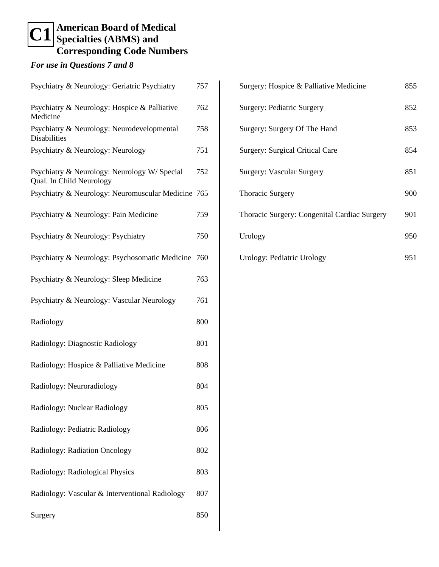#### **American Board of Medical Specialties (ABMS) and Corresponding Code Numbers C1**

| Psychiatry & Neurology: Geriatric Psychiatry                            | 757 |
|-------------------------------------------------------------------------|-----|
| Psychiatry & Neurology: Hospice & Palliative<br>Medicine                | 762 |
| Psychiatry & Neurology: Neurodevelopmental<br>Disabilities              | 758 |
| Psychiatry & Neurology: Neurology                                       | 751 |
| Psychiatry & Neurology: Neurology W/Special<br>Qual. In Child Neurology | 752 |
| Psychiatry & Neurology: Neuromuscular Medicine 765                      |     |
| Psychiatry & Neurology: Pain Medicine                                   | 759 |
| Psychiatry & Neurology: Psychiatry                                      | 750 |
| Psychiatry & Neurology: Psychosomatic Medicine 760                      |     |
| Psychiatry & Neurology: Sleep Medicine                                  | 763 |
| Psychiatry & Neurology: Vascular Neurology                              | 761 |
| Radiology                                                               | 800 |
| Radiology: Diagnostic Radiology                                         | 801 |
| Radiology: Hospice & Palliative Medicine                                | 808 |
| Radiology: Neuroradiology                                               | 804 |
| Radiology: Nuclear Radiology                                            | 805 |
| Radiology: Pediatric Radiology                                          | 806 |
| Radiology: Radiation Oncology                                           | 802 |
| Radiology: Radiological Physics                                         | 803 |
| Radiology: Vascular & Interventional Radiology                          | 807 |
| Surgery                                                                 | 850 |

| Surgery: Hospice & Palliative Medicine       | 855 |
|----------------------------------------------|-----|
| Surgery: Pediatric Surgery                   | 852 |
| Surgery: Surgery Of The Hand                 | 853 |
| <b>Surgery: Surgical Critical Care</b>       | 854 |
| Surgery: Vascular Surgery                    | 851 |
| <b>Thoracic Surgery</b>                      | 900 |
| Thoracic Surgery: Congenital Cardiac Surgery | 901 |
| Urology                                      | 950 |
| Urology: Pediatric Urology                   | 951 |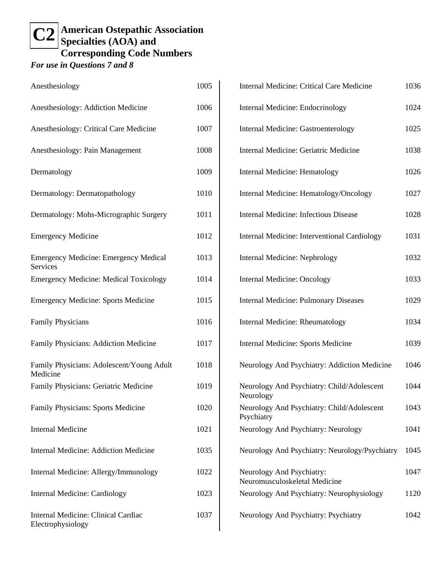#### **American Ostepathic Association Specialties (AOA) and Corresponding Code Numbers C2**

| Anesthesiology                                           | 1005 |
|----------------------------------------------------------|------|
| Anesthesiology: Addiction Medicine                       | 1006 |
| Anesthesiology: Critical Care Medicine                   | 1007 |
| Anesthesiology: Pain Management                          | 1008 |
| Dermatology                                              | 1009 |
| Dermatology: Dermatopathology                            | 1010 |
| Dermatology: Mohs-Micrographic Surgery                   | 1011 |
| <b>Emergency Medicine</b>                                | 1012 |
| <b>Emergency Medicine: Emergency Medical</b><br>Services | 1013 |
| <b>Emergency Medicine: Medical Toxicology</b>            | 1014 |
| <b>Emergency Medicine: Sports Medicine</b>               | 1015 |
| <b>Family Physicians</b>                                 | 1016 |
| Family Physicians: Addiction Medicine                    | 1017 |
| Family Physicians: Adolescent/Young Adult<br>Medicine    | 1018 |
| Family Physicians: Geriatric Medicine                    | 1019 |
| Family Physicians: Sports Medicine                       | 1020 |
| <b>Internal Medicine</b>                                 | 1021 |
| <b>Internal Medicine: Addiction Medicine</b>             | 1035 |
| Internal Medicine: Allergy/Immunology                    | 1022 |
| <b>Internal Medicine: Cardiology</b>                     | 1023 |
| Internal Medicine: Clinical Cardiac<br>Electrophysiology | 1037 |

| <b>Internal Medicine: Critical Care Medicine</b>           | 1036 |
|------------------------------------------------------------|------|
| Internal Medicine: Endocrinology                           | 1024 |
| <b>Internal Medicine: Gastroenterology</b>                 | 1025 |
| Internal Medicine: Geriatric Medicine                      | 1038 |
| Internal Medicine: Hematology                              | 1026 |
| Internal Medicine: Hematology/Oncology                     | 1027 |
| <b>Internal Medicine: Infectious Disease</b>               | 1028 |
| Internal Medicine: Interventional Cardiology               | 1031 |
| <b>Internal Medicine: Nephrology</b>                       | 1032 |
| <b>Internal Medicine: Oncology</b>                         | 1033 |
| <b>Internal Medicine: Pulmonary Diseases</b>               | 1029 |
| Internal Medicine: Rheumatology                            | 1034 |
| Internal Medicine: Sports Medicine                         | 1039 |
| Neurology And Psychiatry: Addiction Medicine               | 1046 |
| Neurology And Psychiatry: Child/Adolescent<br>Neurology    | 1044 |
| Neurology And Psychiatry: Child/Adolescent<br>Psychiatry   | 1043 |
| Neurology And Psychiatry: Neurology                        | 1041 |
| Neurology And Psychiatry: Neurology/Psychiatry             | 1045 |
| Neurology And Psychiatry:<br>Neuromusculoskeletal Medicine | 1047 |
| Neurology And Psychiatry: Neurophysiology                  | 1120 |
| Neurology And Psychiatry: Psychiatry                       | 1042 |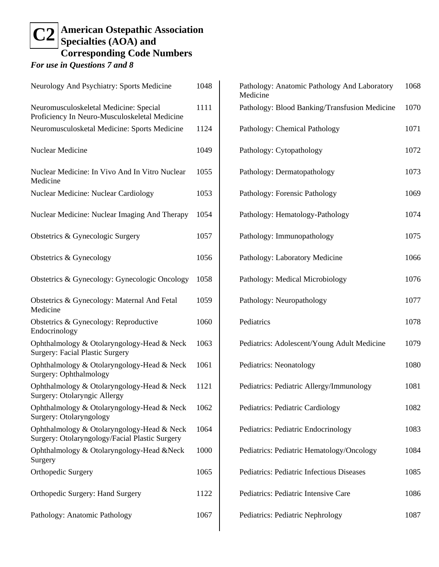#### **American Ostepathic Association Specialties (AOA) and Corresponding Code Numbers C2**

| Neurology And Psychiatry: Sports Medicine                                                    | 1048 |
|----------------------------------------------------------------------------------------------|------|
| Neuromusculoskeletal Medicine: Special<br>Proficiency In Neuro-Musculoskeletal Medicine      | 1111 |
| Neuromusculosketal Medicine: Sports Medicine                                                 | 1124 |
| <b>Nuclear Medicine</b>                                                                      | 1049 |
| Nuclear Medicine: In Vivo And In Vitro Nuclear<br>Medicine                                   | 1055 |
| <b>Nuclear Medicine: Nuclear Cardiology</b>                                                  | 1053 |
| Nuclear Medicine: Nuclear Imaging And Therapy                                                | 1054 |
| Obstetrics & Gynecologic Surgery                                                             | 1057 |
| Obstetrics & Gynecology                                                                      | 1056 |
| Obstetrics & Gynecology: Gynecologic Oncology                                                | 1058 |
| Obstetrics & Gynecology: Maternal And Fetal<br>Medicine                                      | 1059 |
| Obstetrics & Gynecology: Reproductive<br>Endocrinology                                       | 1060 |
| Ophthalmology & Otolaryngology-Head & Neck<br><b>Surgery: Facial Plastic Surgery</b>         | 1063 |
| Ophthalmology & Otolaryngology-Head & Neck<br>Surgery: Ophthalmology                         | 1061 |
| Ophthalmology & Otolaryngology-Head & Neck<br>Surgery: Otolaryngic Allergy                   | 1121 |
| Ophthalmology & Otolaryngology-Head & Neck<br>Surgery: Otolaryngology                        | 1062 |
| Ophthalmology & Otolaryngology-Head & Neck<br>Surgery: Otolaryngology/Facial Plastic Surgery | 1064 |
| Ophthalmology & Otolaryngology-Head &Neck<br>Surgery                                         | 1000 |
| Orthopedic Surgery                                                                           | 1065 |
| Orthopedic Surgery: Hand Surgery                                                             | 1122 |
| Pathology: Anatomic Pathology                                                                | 1067 |

| Pathology: Anatomic Pathology And Laboratory<br>Medicine | 1068 |
|----------------------------------------------------------|------|
| Pathology: Blood Banking/Transfusion Medicine            | 1070 |
| Pathology: Chemical Pathology                            | 1071 |
| Pathology: Cytopathology                                 | 1072 |
| Pathology: Dermatopathology                              | 1073 |
| Pathology: Forensic Pathology                            | 1069 |
| Pathology: Hematology-Pathology                          | 1074 |
| Pathology: Immunopathology                               | 1075 |
| Pathology: Laboratory Medicine                           | 1066 |
| Pathology: Medical Microbiology                          | 1076 |
| Pathology: Neuropathology                                | 1077 |
| Pediatrics                                               | 1078 |
| Pediatrics: Adolescent/Young Adult Medicine              | 1079 |
| Pediatrics: Neonatology                                  | 1080 |
| Pediatrics: Pediatric Allergy/Immunology                 | 1081 |
| Pediatrics: Pediatric Cardiology                         | 1082 |
| Pediatrics: Pediatric Endocrinology                      | 1083 |
| Pediatrics: Pediatric Hematology/Oncology                | 1084 |
| Pediatrics: Pediatric Infectious Diseases                | 1085 |
| Pediatrics: Pediatric Intensive Care                     | 1086 |
| Pediatrics: Pediatric Nephrology                         | 1087 |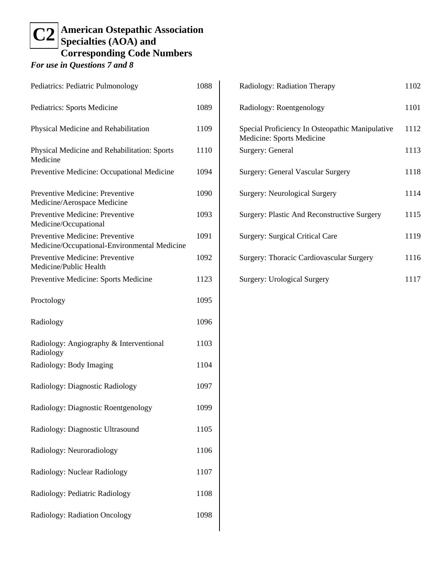# **American Ostepathic Association C2** Specialties (AOA) and **Corresponding Code Numbers**

| Pediatrics: Pediatric Pulmonology                                               | 1088 |
|---------------------------------------------------------------------------------|------|
| Pediatrics: Sports Medicine                                                     | 1089 |
| Physical Medicine and Rehabilitation                                            | 1109 |
| Physical Medicine and Rehabilitation: Sports<br>Medicine                        | 1110 |
| Preventive Medicine: Occupational Medicine                                      | 1094 |
| Preventive Medicine: Preventive<br>Medicine/Aerospace Medicine                  | 1090 |
| Preventive Medicine: Preventive<br>Medicine/Occupational                        | 1093 |
| Preventive Medicine: Preventive<br>Medicine/Occupational-Environmental Medicine | 1091 |
| Preventive Medicine: Preventive<br>Medicine/Public Health                       | 1092 |
| Preventive Medicine: Sports Medicine                                            | 1123 |
| Proctology                                                                      | 1095 |
| Radiology                                                                       | 1096 |
| Radiology: Angiography & Interventional<br>Radiology                            | 1103 |
| Radiology: Body Imaging                                                         | 1104 |
| Radiology: Diagnostic Radiology                                                 | 1097 |
| Radiology: Diagnostic Roentgenology                                             | 1099 |
| Radiology: Diagnostic Ultrasound                                                | 1105 |
| Radiology: Neuroradiology                                                       | 1106 |
| Radiology: Nuclear Radiology                                                    | 1107 |
| Radiology: Pediatric Radiology                                                  | 1108 |
| Radiology: Radiation Oncology                                                   | 1098 |

| Radiology: Radiation Therapy                                                 | 1102 |
|------------------------------------------------------------------------------|------|
| Radiology: Roentgenology                                                     | 1101 |
| Special Proficiency In Osteopathic Manipulative<br>Medicine: Sports Medicine | 1112 |
| Surgery: General                                                             | 1113 |
| <b>Surgery: General Vascular Surgery</b>                                     | 1118 |
| Surgery: Neurological Surgery                                                | 1114 |
| Surgery: Plastic And Reconstructive Surgery                                  | 1115 |
| Surgery: Surgical Critical Care                                              | 1119 |
| Surgery: Thoracic Cardiovascular Surgery                                     | 1116 |
| <b>Surgery: Urological Surgery</b>                                           | 1117 |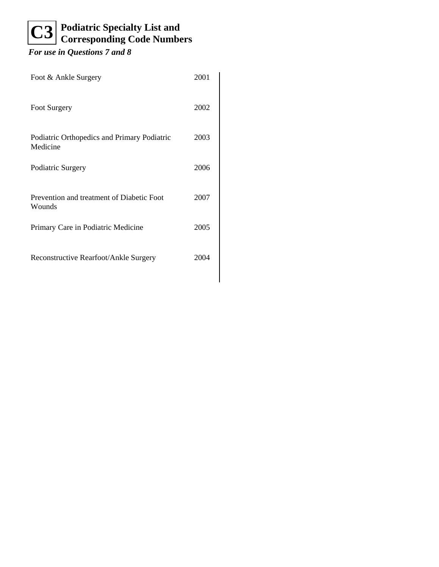# **Podiatric Specialty List and C3** Podiatric Specialty List and<br>
Corresponding Code Numbers

| Foot & Ankle Surgery                                    | 2001 |
|---------------------------------------------------------|------|
| Foot Surgery                                            | 2002 |
| Podiatric Orthopedics and Primary Podiatric<br>Medicine | 2003 |
| Podiatric Surgery                                       | 2006 |
| Prevention and treatment of Diabetic Foot<br>Wounds     | 2007 |
| Primary Care in Podiatric Medicine                      | 2005 |
| Reconstructive Rearfoot/Ankle Surgery                   | 2002 |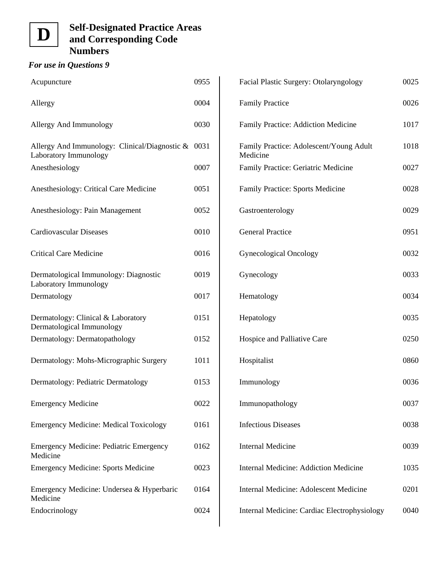### *For use in Questions 9*

| Acupuncture                                                               | 0955 |
|---------------------------------------------------------------------------|------|
| Allergy                                                                   | 0004 |
| Allergy And Immunology                                                    | 0030 |
| Allergy And Immunology: Clinical/Diagnostic $\&$<br>Laboratory Immunology | 0031 |
| Anesthesiology                                                            | 0007 |
| Anesthesiology: Critical Care Medicine                                    | 0051 |
| Anesthesiology: Pain Management                                           | 0052 |
| <b>Cardiovascular Diseases</b>                                            | 0010 |
| <b>Critical Care Medicine</b>                                             | 0016 |
| Dermatological Immunology: Diagnostic<br>Laboratory Immunology            | 0019 |
| Dermatology                                                               | 0017 |
| Dermatology: Clinical & Laboratory<br>Dermatological Immunology           | 0151 |
| Dermatology: Dermatopathology                                             | 0152 |
| Dermatology: Mohs-Micrographic Surgery                                    | 1011 |
| Dermatology: Pediatric Dermatology                                        | 0153 |
| <b>Emergency Medicine</b>                                                 | 0022 |
| <b>Emergency Medicine: Medical Toxicology</b>                             | 0161 |
| <b>Emergency Medicine: Pediatric Emergency</b><br>Medicine                | 0162 |
| <b>Emergency Medicine: Sports Medicine</b>                                | 0023 |
| Emergency Medicine: Undersea & Hyperbaric<br>Medicine                     | 0164 |
| Endocrinology                                                             | 0024 |

| Facial Plastic Surgery: Otolaryngology              | 0025 |
|-----------------------------------------------------|------|
| <b>Family Practice</b>                              | 0026 |
| Family Practice: Addiction Medicine                 | 1017 |
| Family Practice: Adolescent/Young Adult<br>Medicine | 1018 |
| Family Practice: Geriatric Medicine                 | 0027 |
| Family Practice: Sports Medicine                    | 0028 |
| Gastroenterology                                    | 0029 |
| <b>General Practice</b>                             | 0951 |
| <b>Gynecological Oncology</b>                       | 0032 |
| Gynecology                                          | 0033 |
| Hematology                                          | 0034 |
| Hepatology                                          | 0035 |
| Hospice and Palliative Care                         | 0250 |
| Hospitalist                                         | 0860 |
| Immunology                                          | 0036 |
| Immunopathology                                     | 0037 |
| <b>Infectious Diseases</b>                          | 0038 |
| <b>Internal Medicine</b>                            | 0039 |
| <b>Internal Medicine: Addiction Medicine</b>        | 1035 |
| Internal Medicine: Adolescent Medicine              | 0201 |
| Internal Medicine: Cardiac Electrophysiology        | 0040 |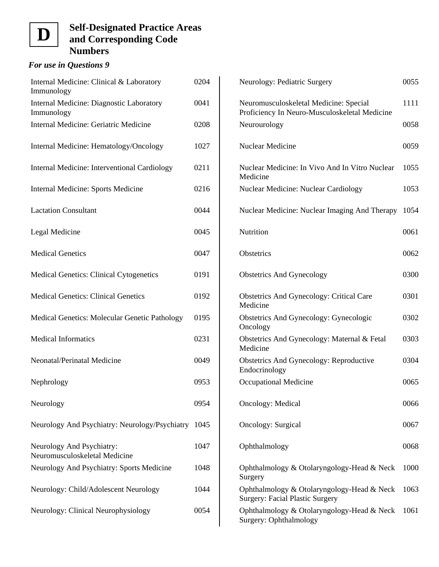### *For use in Questions 9*

| Internal Medicine: Clinical & Laboratory<br>Immunology     | 0204 |
|------------------------------------------------------------|------|
| Internal Medicine: Diagnostic Laboratory<br>Immunology     | 0041 |
| Internal Medicine: Geriatric Medicine                      | 0208 |
| Internal Medicine: Hematology/Oncology                     | 1027 |
| Internal Medicine: Interventional Cardiology               | 0211 |
| Internal Medicine: Sports Medicine                         | 0216 |
| <b>Lactation Consultant</b>                                | 0044 |
| Legal Medicine                                             | 0045 |
| <b>Medical Genetics</b>                                    | 0047 |
| Medical Genetics: Clinical Cytogenetics                    | 0191 |
| <b>Medical Genetics: Clinical Genetics</b>                 | 0192 |
| Medical Genetics: Molecular Genetic Pathology              | 0195 |
| <b>Medical Informatics</b>                                 | 0231 |
| Neonatal/Perinatal Medicine                                | 0049 |
| Nephrology                                                 | 0953 |
| Neurology                                                  | 0954 |
| Neurology And Psychiatry: Neurology/Psychiatry             | 1045 |
| Neurology And Psychiatry:<br>Neuromusculoskeletal Medicine | 1047 |
| Neurology And Psychiatry: Sports Medicine                  | 1048 |
| Neurology: Child/Adolescent Neurology                      | 1044 |
| Neurology: Clinical Neurophysiology                        | 0054 |

| Neurology: Pediatric Surgery                                                            | 0055 |
|-----------------------------------------------------------------------------------------|------|
| Neuromusculoskeletal Medicine: Special<br>Proficiency In Neuro-Musculoskeletal Medicine | 1111 |
| Neurourology                                                                            | 0058 |
| Nuclear Medicine                                                                        | 0059 |
| Nuclear Medicine: In Vivo And In Vitro Nuclear<br>Medicine                              | 1055 |
| <b>Nuclear Medicine: Nuclear Cardiology</b>                                             | 1053 |
| Nuclear Medicine: Nuclear Imaging And Therapy                                           | 1054 |
| Nutrition                                                                               | 0061 |
| <b>Obstetrics</b>                                                                       | 0062 |
| <b>Obstetrics And Gynecology</b>                                                        | 0300 |
| <b>Obstetrics And Gynecology: Critical Care</b><br>Medicine                             | 0301 |
| <b>Obstetrics And Gynecology: Gynecologic</b><br>Oncology                               | 0302 |
| Obstetrics And Gynecology: Maternal & Fetal<br>Medicine                                 | 0303 |
| <b>Obstetrics And Gynecology: Reproductive</b><br>Endocrinology                         | 0304 |
| Occupational Medicine                                                                   | 0065 |
| <b>Oncology: Medical</b>                                                                | 0066 |
| Oncology: Surgical                                                                      | 0067 |
| Ophthalmology                                                                           | 0068 |
| Ophthalmology & Otolaryngology-Head & Neck<br>Surgery                                   | 1000 |
| Ophthalmology & Otolaryngology-Head & Neck<br><b>Surgery: Facial Plastic Surgery</b>    | 1063 |
| Ophthalmology & Otolaryngology-Head & Neck<br>Surgery: Ophthalmology                    | 1061 |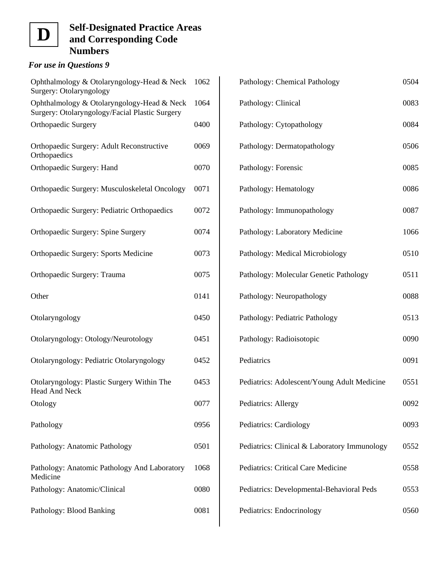### *For use in Questions 9*

| Ophthalmology & Otolaryngology-Head & Neck<br>Surgery: Otolaryngology                        | 1062 |
|----------------------------------------------------------------------------------------------|------|
| Ophthalmology & Otolaryngology-Head & Neck<br>Surgery: Otolaryngology/Facial Plastic Surgery | 1064 |
| <b>Orthopaedic Surgery</b>                                                                   | 0400 |
| Orthopaedic Surgery: Adult Reconstructive<br>Orthopaedics                                    | 0069 |
| Orthopaedic Surgery: Hand                                                                    | 0070 |
| Orthopaedic Surgery: Musculoskeletal Oncology                                                | 0071 |
| Orthopaedic Surgery: Pediatric Orthopaedics                                                  | 0072 |
| <b>Orthopaedic Surgery: Spine Surgery</b>                                                    | 0074 |
| Orthopaedic Surgery: Sports Medicine                                                         | 0073 |
| Orthopaedic Surgery: Trauma                                                                  | 0075 |
| Other                                                                                        | 0141 |
| Otolaryngology                                                                               | 0450 |
| Otolaryngology: Otology/Neurotology                                                          | 0451 |
| Otolaryngology: Pediatric Otolaryngology                                                     | 0452 |
| Otolaryngology: Plastic Surgery Within The<br><b>Head And Neck</b>                           | 0453 |
| Otology                                                                                      | 0077 |
| Pathology                                                                                    | 0956 |
| Pathology: Anatomic Pathology                                                                | 0501 |
| Pathology: Anatomic Pathology And Laboratory<br>Medicine                                     | 1068 |
| Pathology: Anatomic/Clinical                                                                 | 0080 |
| Pathology: Blood Banking                                                                     | 0081 |

| Pathology: Chemical Pathology                | 0504 |
|----------------------------------------------|------|
| Pathology: Clinical                          | 0083 |
| Pathology: Cytopathology                     | 0084 |
| Pathology: Dermatopathology                  | 0506 |
| Pathology: Forensic                          | 0085 |
| Pathology: Hematology                        | 0086 |
| Pathology: Immunopathology                   | 0087 |
| Pathology: Laboratory Medicine               | 1066 |
| Pathology: Medical Microbiology              | 0510 |
| Pathology: Molecular Genetic Pathology       | 0511 |
| Pathology: Neuropathology                    | 0088 |
| Pathology: Pediatric Pathology               | 0513 |
| Pathology: Radioisotopic                     | 0090 |
| Pediatrics                                   | 0091 |
| Pediatrics: Adolescent/Young Adult Medicine  | 0551 |
| Pediatrics: Allergy                          | 0092 |
| Pediatrics: Cardiology                       | 0093 |
| Pediatrics: Clinical & Laboratory Immunology | 0552 |
| Pediatrics: Critical Care Medicine           | 0558 |
| Pediatrics: Developmental-Behavioral Peds    | 0553 |
| Pediatrics: Endocrinology                    | 0560 |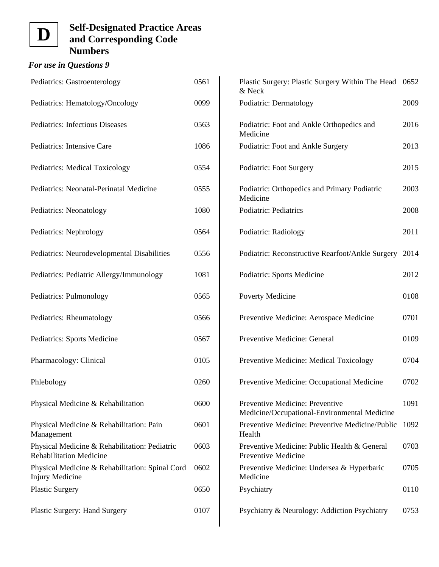### *For use in Questions 9*

| Pediatrics: Gastroenterology                                                    | 0561 |
|---------------------------------------------------------------------------------|------|
| Pediatrics: Hematology/Oncology                                                 | 0099 |
| Pediatrics: Infectious Diseases                                                 | 0563 |
| Pediatrics: Intensive Care                                                      | 1086 |
| Pediatrics: Medical Toxicology                                                  | 0554 |
| Pediatrics: Neonatal-Perinatal Medicine                                         | 0555 |
| Pediatrics: Neonatology                                                         | 1080 |
| Pediatrics: Nephrology                                                          | 0564 |
| Pediatrics: Neurodevelopmental Disabilities                                     | 0556 |
| Pediatrics: Pediatric Allergy/Immunology                                        | 1081 |
| Pediatrics: Pulmonology                                                         | 0565 |
| Pediatrics: Rheumatology                                                        | 0566 |
| Pediatrics: Sports Medicine                                                     | 0567 |
| Pharmacology: Clinical                                                          | 0105 |
| Phlebology                                                                      | 0260 |
| Physical Medicine & Rehabilitation                                              | 0600 |
| Physical Medicine & Rehabilitation: Pain<br>Management                          | 0601 |
| Physical Medicine & Rehabilitation: Pediatric<br><b>Rehabilitation Medicine</b> | 0603 |
| Physical Medicine & Rehabilitation: Spinal Cord<br><b>Injury Medicine</b>       | 0602 |
| <b>Plastic Surgery</b>                                                          | 0650 |
| <b>Plastic Surgery: Hand Surgery</b>                                            | 0107 |

| Plastic Surgery: Plastic Surgery Within The Head 0652<br>& Neck                 |      |
|---------------------------------------------------------------------------------|------|
| Podiatric: Dermatology                                                          | 2009 |
| Podiatric: Foot and Ankle Orthopedics and<br>Medicine                           | 2016 |
| Podiatric: Foot and Ankle Surgery                                               | 2013 |
| Podiatric: Foot Surgery                                                         | 2015 |
| Podiatric: Orthopedics and Primary Podiatric<br>Medicine                        | 2003 |
| <b>Podiatric: Pediatrics</b>                                                    | 2008 |
| Podiatric: Radiology                                                            | 2011 |
| Podiatric: Reconstructive Rearfoot/Ankle Surgery                                | 2014 |
| Podiatric: Sports Medicine                                                      | 2012 |
| Poverty Medicine                                                                | 0108 |
| Preventive Medicine: Aerospace Medicine                                         | 0701 |
| Preventive Medicine: General                                                    | 0109 |
| Preventive Medicine: Medical Toxicology                                         | 0704 |
| Preventive Medicine: Occupational Medicine                                      | 0702 |
| Preventive Medicine: Preventive<br>Medicine/Occupational-Environmental Medicine | 1091 |
| Preventive Medicine: Preventive Medicine/Public<br>Health                       | 1092 |
| Preventive Medicine: Public Health & General<br>Preventive Medicine             | 0703 |
| Preventive Medicine: Undersea & Hyperbaric<br>Medicine                          | 0705 |
| Psychiatry                                                                      | 0110 |
| Psychiatry & Neurology: Addiction Psychiatry                                    | 0753 |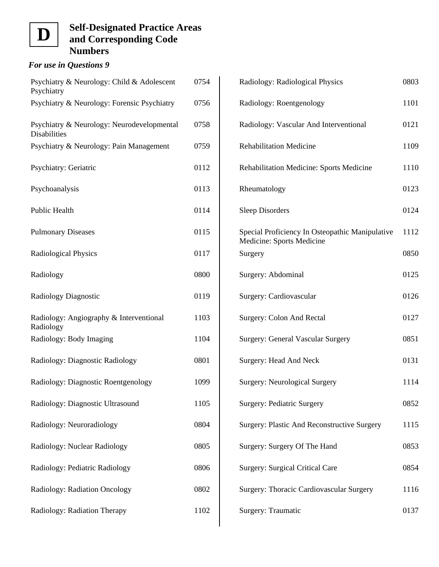### *For use in Questions 9*

| Psychiatry & Neurology: Child & Adolescent<br>Psychiatry          | 0754 |
|-------------------------------------------------------------------|------|
| Psychiatry & Neurology: Forensic Psychiatry                       | 0756 |
| Psychiatry & Neurology: Neurodevelopmental<br><b>Disabilities</b> | 0758 |
| Psychiatry & Neurology: Pain Management                           | 0759 |
| Psychiatry: Geriatric                                             | 0112 |
| Psychoanalysis                                                    | 0113 |
| Public Health                                                     | 0114 |
| <b>Pulmonary Diseases</b>                                         | 0115 |
| <b>Radiological Physics</b>                                       | 0117 |
| Radiology                                                         | 0800 |
| <b>Radiology Diagnostic</b>                                       | 0119 |
| Radiology: Angiography & Interventional<br>Radiology              | 1103 |
| Radiology: Body Imaging                                           | 1104 |
| Radiology: Diagnostic Radiology                                   | 0801 |
| Radiology: Diagnostic Roentgenology                               | 1099 |
| Radiology: Diagnostic Ultrasound                                  | 1105 |
| Radiology: Neuroradiology                                         | 0804 |
| Radiology: Nuclear Radiology                                      | 0805 |
| Radiology: Pediatric Radiology                                    | 0806 |
| Radiology: Radiation Oncology                                     | 0802 |
| Radiology: Radiation Therapy                                      | 1102 |

| Radiology: Radiological Physics                                              | 0803 |
|------------------------------------------------------------------------------|------|
| Radiology: Roentgenology                                                     | 1101 |
| Radiology: Vascular And Interventional                                       | 0121 |
| <b>Rehabilitation Medicine</b>                                               | 1109 |
| <b>Rehabilitation Medicine: Sports Medicine</b>                              | 1110 |
| Rheumatology                                                                 | 0123 |
| <b>Sleep Disorders</b>                                                       | 0124 |
| Special Proficiency In Osteopathic Manipulative<br>Medicine: Sports Medicine | 1112 |
| Surgery                                                                      | 0850 |
| Surgery: Abdominal                                                           | 0125 |
| Surgery: Cardiovascular                                                      | 0126 |
| Surgery: Colon And Rectal                                                    | 0127 |
| <b>Surgery: General Vascular Surgery</b>                                     | 0851 |
| Surgery: Head And Neck                                                       | 0131 |
| <b>Surgery: Neurological Surgery</b>                                         | 1114 |
| Surgery: Pediatric Surgery                                                   | 0852 |
| Surgery: Plastic And Reconstructive Surgery                                  | 1115 |
| Surgery: Surgery Of The Hand                                                 | 0853 |
| <b>Surgery: Surgical Critical Care</b>                                       | 0854 |
| Surgery: Thoracic Cardiovascular Surgery                                     | 1116 |
| Surgery: Traumatic                                                           | 0137 |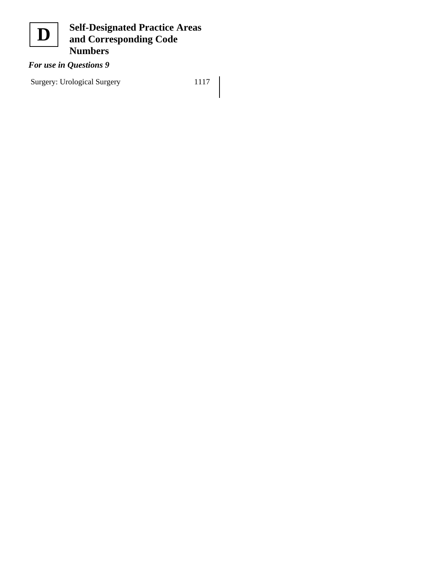

### *For use in Questions 9*

Surgery: Urological Surgery 1117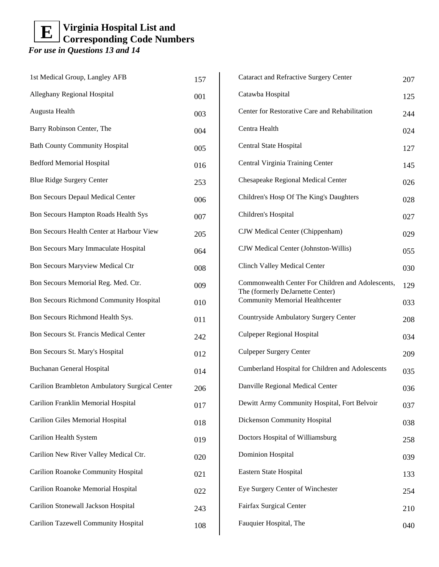| 1st Medical Group, Langley AFB                 | 157 |
|------------------------------------------------|-----|
| Alleghany Regional Hospital                    | 001 |
| Augusta Health                                 | 003 |
| Barry Robinson Center, The                     | 004 |
| <b>Bath County Community Hospital</b>          | 005 |
| <b>Bedford Memorial Hospital</b>               | 016 |
| <b>Blue Ridge Surgery Center</b>               | 253 |
| <b>Bon Secours Depaul Medical Center</b>       | 006 |
| Bon Secours Hampton Roads Health Sys           | 007 |
| Bon Secours Health Center at Harbour View      | 205 |
| Bon Secours Mary Immaculate Hospital           | 064 |
| <b>Bon Secours Maryview Medical Ctr</b>        | 008 |
| Bon Secours Memorial Reg. Med. Ctr.            | 009 |
| <b>Bon Secours Richmond Community Hospital</b> | 010 |
| Bon Secours Richmond Health Sys.               | 011 |
| Bon Secours St. Francis Medical Center         | 242 |
| Bon Secours St. Mary's Hospital                | 012 |
| <b>Buchanan General Hospital</b>               | 014 |
| Carilion Brambleton Ambulatory Surgical Center | 206 |
| Carilion Franklin Memorial Hospital            | 017 |
| <b>Carilion Giles Memorial Hospital</b>        | 018 |
| Carilion Health System                         | 019 |
| Carilion New River Valley Medical Ctr.         | 020 |
| <b>Carilion Roanoke Community Hospital</b>     | 021 |
| Carilion Roanoke Memorial Hospital             | 022 |
| Carilion Stonewall Jackson Hospital            | 243 |
| Carilion Tazewell Community Hospital           | 108 |

| <b>Cataract and Refractive Surgery Center</b>                              | 207 |
|----------------------------------------------------------------------------|-----|
| Catawba Hospital                                                           | 125 |
| Center for Restorative Care and Rehabilitation                             | 244 |
| Centra Health                                                              | 024 |
| Central State Hospital                                                     | 127 |
| Central Virginia Training Center                                           | 145 |
| Chesapeake Regional Medical Center                                         | 026 |
| Children's Hosp Of The King's Daughters                                    | 028 |
| Children's Hospital                                                        | 027 |
| CJW Medical Center (Chippenham)                                            | 029 |
| CJW Medical Center (Johnston-Willis)                                       | 055 |
| <b>Clinch Valley Medical Center</b>                                        | 030 |
| Commonwealth Center For Children and Adolescents,                          | 129 |
| The (formerly DeJarnette Center)<br><b>Community Memorial Healthcenter</b> | 033 |
| Countryside Ambulatory Surgery Center                                      | 208 |
| <b>Culpeper Regional Hospital</b>                                          | 034 |
| <b>Culpeper Surgery Center</b>                                             | 209 |
| Cumberland Hospital for Children and Adolescents                           | 035 |
| Danville Regional Medical Center                                           | 036 |
| Dewitt Army Community Hospital, Fort Belvoir                               | 037 |
| Dickenson Community Hospital                                               | 038 |
| Doctors Hospital of Williamsburg                                           | 258 |
| <b>Dominion Hospital</b>                                                   | 039 |
| Eastern State Hospital                                                     | 133 |
| Eye Surgery Center of Winchester                                           | 254 |
| Fairfax Surgical Center                                                    | 210 |
| Fauquier Hospital, The                                                     | 040 |
|                                                                            |     |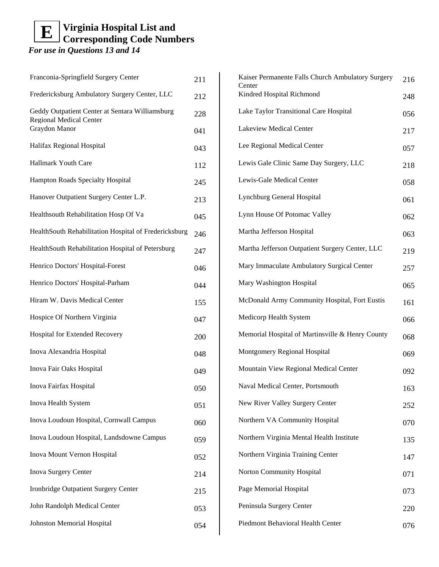| Franconia-Springfield Surgery Center                                                               | 211 |
|----------------------------------------------------------------------------------------------------|-----|
| Fredericksburg Ambulatory Surgery Center, LLC                                                      | 212 |
| Geddy Outpatient Center at Sentara Williamsburg<br><b>Regional Medical Center</b><br>Graydon Manor | 228 |
|                                                                                                    | 041 |
| Halifax Regional Hospital                                                                          | 043 |
| Hallmark Youth Care                                                                                | 112 |
| <b>Hampton Roads Specialty Hospital</b>                                                            | 245 |
| Hanover Outpatient Surgery Center L.P.                                                             | 213 |
| Healthsouth Rehabilitation Hosp Of Va                                                              | 045 |
| HealthSouth Rehabilitation Hospital of Fredericksburg                                              | 246 |
| HealthSouth Rehabilitation Hospital of Petersburg                                                  | 247 |
| Henrico Doctors' Hospital-Forest                                                                   | 046 |
| Henrico Doctors' Hospital-Parham                                                                   | 044 |
| Hiram W. Davis Medical Center                                                                      | 155 |
| Hospice Of Northern Virginia                                                                       | 047 |
| Hospital for Extended Recovery                                                                     | 200 |
| Inova Alexandria Hospital                                                                          | 048 |
| Inova Fair Oaks Hospital                                                                           | 049 |
| Inova Fairfax Hospital                                                                             | 050 |
| Inova Health System                                                                                | 051 |
| Inova Loudoun Hospital, Cornwall Campus                                                            | 060 |
| Inova Loudoun Hospital, Landsdowne Campus                                                          | 059 |
| Inova Mount Vernon Hospital                                                                        | 052 |
| Inova Surgery Center                                                                               | 214 |
| Ironbridge Outpatient Surgery Center                                                               | 215 |
| John Randolph Medical Center                                                                       | 053 |
| Johnston Memorial Hospital                                                                         | 054 |

| Kaiser Permanente Falls Church Ambulatory Surgery<br>Center | 216 |
|-------------------------------------------------------------|-----|
| Kindred Hospital Richmond                                   | 248 |
| Lake Taylor Transitional Care Hospital                      | 056 |
| Lakeview Medical Center                                     | 217 |
| Lee Regional Medical Center                                 | 057 |
| Lewis Gale Clinic Same Day Surgery, LLC                     | 218 |
| Lewis-Gale Medical Center                                   | 058 |
| Lynchburg General Hospital                                  | 061 |
| Lynn House Of Potomac Valley                                | 062 |
| Martha Jefferson Hospital                                   | 063 |
| Martha Jefferson Outpatient Surgery Center, LLC             | 219 |
| Mary Immaculate Ambulatory Surgical Center                  | 257 |
| Mary Washington Hospital                                    | 065 |
| McDonald Army Community Hospital, Fort Eustis               | 161 |
| Medicorp Health System                                      | 066 |
| Memorial Hospital of Martinsville & Henry County            | 068 |
| Montgomery Regional Hospital                                | 069 |
| Mountain View Regional Medical Center                       | 092 |
| Naval Medical Center, Portsmouth                            | 163 |
| New River Valley Surgery Center                             | 252 |
| Northern VA Community Hospital                              | 070 |
| Northern Virginia Mental Health Institute                   | 135 |
| Northern Virginia Training Center                           | 147 |
| Norton Community Hospital                                   | 071 |
| Page Memorial Hospital                                      | 073 |
| Peninsula Surgery Center                                    | 220 |
| Piedmont Behavioral Health Center                           | 076 |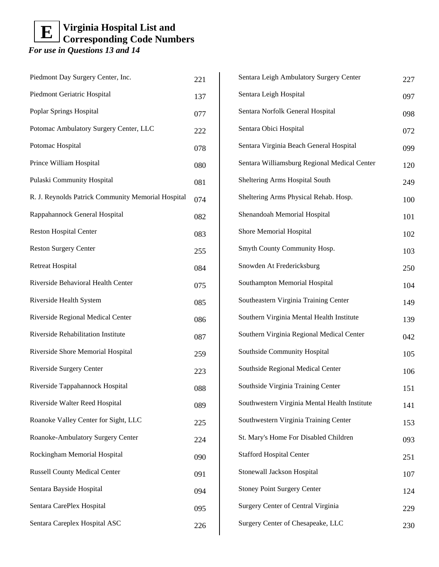| Piedmont Day Surgery Center, Inc.                  | 221 |
|----------------------------------------------------|-----|
| Piedmont Geriatric Hospital                        | 137 |
| Poplar Springs Hospital                            | 077 |
| Potomac Ambulatory Surgery Center, LLC             | 222 |
| Potomac Hospital                                   | 078 |
| Prince William Hospital                            | 080 |
| Pulaski Community Hospital                         | 081 |
| R. J. Reynolds Patrick Community Memorial Hospital | 074 |
| Rappahannock General Hospital                      | 082 |
| <b>Reston Hospital Center</b>                      | 083 |
| <b>Reston Surgery Center</b>                       | 255 |
| <b>Retreat Hospital</b>                            | 084 |
| Riverside Behavioral Health Center                 | 075 |
| Riverside Health System                            | 085 |
| Riverside Regional Medical Center                  | 086 |
| Riverside Rehabilitation Institute                 | 087 |
| Riverside Shore Memorial Hospital                  | 259 |
| Riverside Surgery Center                           | 223 |
| Riverside Tappahannock Hospital                    | 088 |
| Riverside Walter Reed Hospital                     | 089 |
| Roanoke Valley Center for Sight, LLC               | 225 |
| Roanoke-Ambulatory Surgery Center                  | 224 |
| Rockingham Memorial Hospital                       | 090 |
| <b>Russell County Medical Center</b>               | 091 |
| Sentara Bayside Hospital                           | 094 |
| Sentara CarePlex Hospital                          | 095 |
| Sentara Careplex Hospital ASC                      | 226 |

| Sentara Leigh Ambulatory Surgery Center       | 227 |
|-----------------------------------------------|-----|
| Sentara Leigh Hospital                        | 097 |
| Sentara Norfolk General Hospital              | 098 |
| Sentara Obici Hospital                        | 072 |
| Sentara Virginia Beach General Hospital       | 099 |
| Sentara Williamsburg Regional Medical Center  | 120 |
| Sheltering Arms Hospital South                | 249 |
| Sheltering Arms Physical Rehab. Hosp.         | 100 |
| Shenandoah Memorial Hospital                  | 101 |
| Shore Memorial Hospital                       | 102 |
| Smyth County Community Hosp.                  | 103 |
| Snowden At Fredericksburg                     | 250 |
| Southampton Memorial Hospital                 | 104 |
| Southeastern Virginia Training Center         | 149 |
| Southern Virginia Mental Health Institute     | 139 |
| Southern Virginia Regional Medical Center     | 042 |
| Southside Community Hospital                  | 105 |
| Southside Regional Medical Center             | 106 |
| Southside Virginia Training Center            | 151 |
| Southwestern Virginia Mental Health Institute | 141 |
| Southwestern Virginia Training Center         | 153 |
| St. Mary's Home For Disabled Children         | 093 |
| <b>Stafford Hospital Center</b>               | 251 |
| Stonewall Jackson Hospital                    | 107 |
| <b>Stoney Point Surgery Center</b>            | 124 |
| Surgery Center of Central Virginia            | 229 |
| Surgery Center of Chesapeake, LLC             | 230 |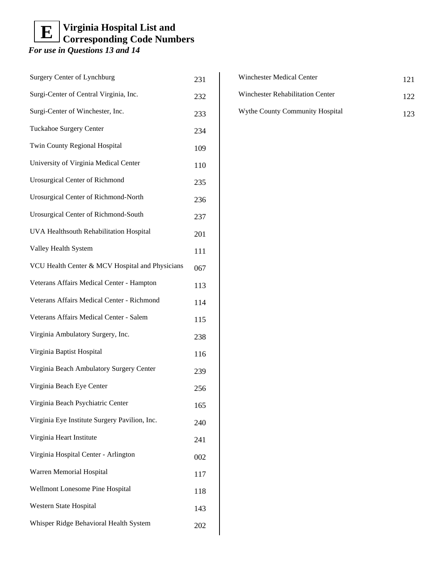| <b>Surgery Center of Lynchburg</b>              | 231 |
|-------------------------------------------------|-----|
| Surgi-Center of Central Virginia, Inc.          | 232 |
| Surgi-Center of Winchester, Inc.                | 233 |
| <b>Tuckahoe Surgery Center</b>                  | 234 |
| Twin County Regional Hospital                   | 109 |
| University of Virginia Medical Center           | 110 |
| <b>Urosurgical Center of Richmond</b>           | 235 |
| Urosurgical Center of Richmond-North            | 236 |
| Urosurgical Center of Richmond-South            | 237 |
| UVA Healthsouth Rehabilitation Hospital         | 201 |
| Valley Health System                            | 111 |
| VCU Health Center & MCV Hospital and Physicians | 067 |
| Veterans Affairs Medical Center - Hampton       | 113 |
| Veterans Affairs Medical Center - Richmond      | 114 |
| Veterans Affairs Medical Center - Salem         | 115 |
| Virginia Ambulatory Surgery, Inc.               | 238 |
| Virginia Baptist Hospital                       | 116 |
| Virginia Beach Ambulatory Surgery Center        | 239 |
| Virginia Beach Eye Center                       | 256 |
| Virginia Beach Psychiatric Center               | 165 |
| Virginia Eye Institute Surgery Pavilion, Inc.   | 240 |
| Virginia Heart Institute                        | 241 |
| Virginia Hospital Center - Arlington            | 002 |
| Warren Memorial Hospital                        | 117 |
| Wellmont Lonesome Pine Hospital                 | 118 |
| Western State Hospital                          | 143 |
| Whisper Ridge Behavioral Health System          | 202 |

| Winchester Medical Center        | 121 |
|----------------------------------|-----|
| Winchester Rehabilitation Center | 122 |
| Wythe County Community Hospital  | 123 |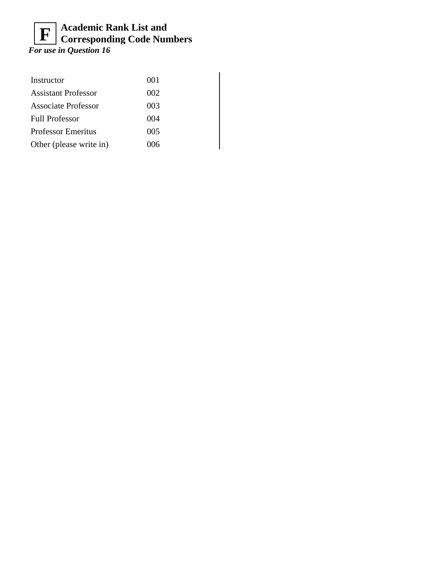### **Academic Rank List and Corresponding Code Numbers F**

*For use in Question 16*

| Instructor                 | 001 |
|----------------------------|-----|
| <b>Assistant Professor</b> | 002 |
| Associate Professor        | 003 |
| <b>Full Professor</b>      | 004 |
| <b>Professor Emeritus</b>  | 005 |
| Other (please write in)    | 006 |